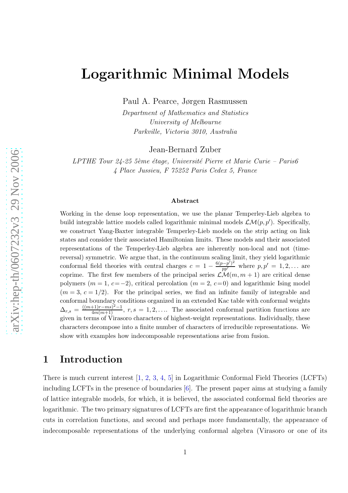# Logarithmic Minimal Models

Paul A. Pearce, Jørgen Rasmussen

Department of Mathematics and Statistics University of Melbourne Parkville, Victoria 3010, Australia

Jean-Bernard Zuber

LPTHE Tour  $24$ - $25$  5ème étage, Université Pierre et Marie Curie – Paris6 4 Place Jussieu, F 75252 Paris Cedex 5, France

#### Abstract

Working in the dense loop representation, we use the planar Temperley-Lieb algebra to build integrable lattice models called logarithmic minimal models  $\mathcal{LM}(p, p')$ . Specifically, we construct Yang-Baxter integrable Temperley-Lieb models on the strip acting on link states and consider their associated Hamiltonian limits. These models and their associated representations of the Temperley-Lieb algebra are inherently non-local and not (timereversal) symmetric. We argue that, in the continuum scaling limit, they yield logarithmic conformal field theories with central charges  $c = 1 - \frac{6(p-p')^2}{pp'}$  $\frac{(p-p')^2}{pp'}$  where  $p, p' = 1, 2, ...$  are coprime. The first few members of the principal series  $\mathcal{LM}(m, m + 1)$  are critical dense polymers  $(m = 1, c = -2)$ , critical percolation  $(m = 2, c = 0)$  and logarithmic Ising model  $(m=3, c=1/2)$ . For the principal series, we find an infinite family of integrable and conformal boundary conditions organized in an extended Kac table with conformal weights  $\Delta_{r,s} = \frac{((m+1)r - ms)^2 - 1}{4m(m+1)}$  $\frac{f_{1}}{4m(m+1)}$ ,  $r, s = 1, 2, \ldots$  The associated conformal partition functions are given in terms of Virasoro characters of highest-weight representations. Individually, these characters decompose into a finite number of characters of irreducible representations. We show with examples how indecomposable representations arise from fusion.

## 1 Introduction

There is much current interest [ [1](#page-36-0) , [2](#page-36-1) , [3](#page-36-2) , [4](#page-36-3) , [5\]](#page-36-4) in Logarithmic Conformal Field Theories (LCFTs) including LCFTs in the presence of boundaries [ [6\]](#page-36-5). The present paper aims at studying a family of lattice integrable models, for which, it is believed, the associated conformal field theories are logarithmic. The two primary signatures of LCFTs are first the appearance of logarithmic branch cuts in correlation functions, and second and perhaps more fundamentally, the appearance of indecomposable representations of the underlying conformal algebra (Virasoro or one of its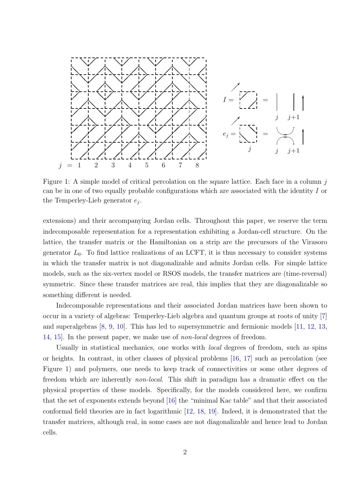

Figure 1: A simple model of critical percolation on the square lattice. Each face in a column  $j$ can be in one of two equally probable configurations which are associated with the identity I or the Temperley-Lieb generator  $e_j$ .

extensions) and their accompanying Jordan cells. Throughout this paper, we reserve the term indecomposable representation for a representation exhibiting a Jordan-cell structure. On the lattice, the transfer matrix or the Hamiltonian on a strip are the precursors of the Virasoro generator  $L_0$ . To find lattice realizations of an LCFT, it is thus necessary to consider systems in which the transfer matrix is not diagonalizable and admits Jordan cells. For simple lattice models, such as the six-vertex model or RSOS models, the transfer matrices are (time-reversal) symmetric. Since these transfer matrices are real, this implies that they are diagonalizable so something different is needed.

Indecomposable representations and their associated Jordan matrices have been shown to occur in a variety of algebras: Temperley-Lieb algebra and quantum groups at roots of unity [\[7\]](#page-36-6) and superalgebras [\[8,](#page-36-7) [9,](#page-36-8) [10\]](#page-36-9). This has led to supersymmetric and fermionic models [\[11,](#page-36-10) [12,](#page-36-11) [13,](#page-36-12) [14,](#page-36-13) [15\]](#page-36-14). In the present paper, we make use of non-local degrees of freedom.

Usually in statistical mechanics, one works with *local* degrees of freedom, such as spins or heights. In contrast, in other classes of physical problems [\[16,](#page-36-15) [17\]](#page-37-0) such as percolation (see Figure 1) and polymers, one needs to keep track of connectivities or some other degrees of freedom which are inherently non-local. This shift in paradigm has a dramatic effect on the physical properties of these models. Specifically, for the models considered here, we confirm that the set of exponents extends beyond [\[16\]](#page-36-15) the "minimal Kac table" and that their associated conformal field theories are in fact logarithmic [\[12,](#page-36-11) [18,](#page-37-1) [19\]](#page-37-2). Indeed, it is demonstrated that the transfer matrices, although real, in some cases are not diagonalizable and hence lead to Jordan cells.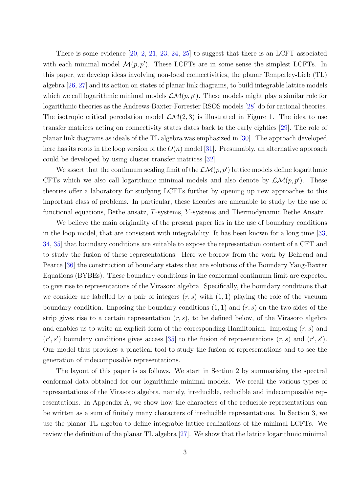There is some evidence [\[20,](#page-37-3) [2,](#page-36-1) [21,](#page-37-4) [23,](#page-37-5) [24,](#page-37-6) [25\]](#page-37-7) to suggest that there is an LCFT associated with each minimal model  $\mathcal{M}(p, p')$ . These LCFTs are in some sense the simplest LCFTs. In this paper, we develop ideas involving non-local connectivities, the planar Temperley-Lieb (TL) algebra [\[26,](#page-37-8) [27\]](#page-37-9) and its action on states of planar link diagrams, to build integrable lattice models which we call logarithmic minimal models  $\mathcal{LM}(p, p')$ . These models might play a similar role for logarithmic theories as the Andrews-Baxter-Forrester RSOS models [\[28\]](#page-37-10) do for rational theories. The isotropic critical percolation model  $\mathcal{LM}(2,3)$  is illustrated in Figure 1. The idea to use transfer matrices acting on connectivity states dates back to the early eighties [\[29\]](#page-37-11). The role of planar link diagrams as ideals of the TL algebra was emphasized in [\[30\]](#page-37-12). The approach developed here has its roots in the loop version of the  $O(n)$  model [\[31\]](#page-37-13). Presumably, an alternative approach could be developed by using cluster transfer matrices [\[32\]](#page-38-0).

We assert that the continuum scaling limit of the  $\mathcal{LM}(p,p')$  lattice models define logarithmic CFTs which we also call logarithmic minimal models and also denote by  $\mathcal{LM}(p, p')$ . These theories offer a laboratory for studying LCFTs further by opening up new approaches to this important class of problems. In particular, these theories are amenable to study by the use of functional equations, Bethe ansatz, T-systems, Y -systems and Thermodynamic Bethe Ansatz.

We believe the main originality of the present paper lies in the use of boundary conditions in the loop model, that are consistent with integrability. It has been known for a long time [\[33,](#page-38-1) [34,](#page-38-2) [35\]](#page-38-3) that boundary conditions are suitable to expose the representation content of a CFT and to study the fusion of these representations. Here we borrow from the work by Behrend and Pearce [\[36\]](#page-38-4) the construction of boundary states that are solutions of the Boundary Yang-Baxter Equations (BYBEs). These boundary conditions in the conformal continuum limit are expected to give rise to representations of the Virasoro algebra. Specifically, the boundary conditions that we consider are labelled by a pair of integers  $(r, s)$  with  $(1, 1)$  playing the role of the vacuum boundary condition. Imposing the boundary conditions  $(1, 1)$  and  $(r, s)$  on the two sides of the strip gives rise to a certain representation  $(r, s)$ , to be defined below, of the Virasoro algebra and enables us to write an explicit form of the corresponding Hamiltonian. Imposing  $(r, s)$  and  $(r', s')$  boundary conditions gives access [\[35\]](#page-38-3) to the fusion of representations  $(r, s)$  and  $(r', s')$ . Our model thus provides a practical tool to study the fusion of representations and to see the generation of indecomposable representations.

The layout of this paper is as follows. We start in Section 2 by summarising the spectral conformal data obtained for our logarithmic minimal models. We recall the various types of representations of the Virasoro algebra, namely, irreducible, reducible and indecomposable representations. In Appendix A, we show how the characters of the reducible representations can be written as a sum of finitely many characters of irreducible representations. In Section 3, we use the planar TL algebra to define integrable lattice realizations of the minimal LCFTs. We review the definition of the planar TL algebra [\[27\]](#page-37-9). We show that the lattice logarithmic minimal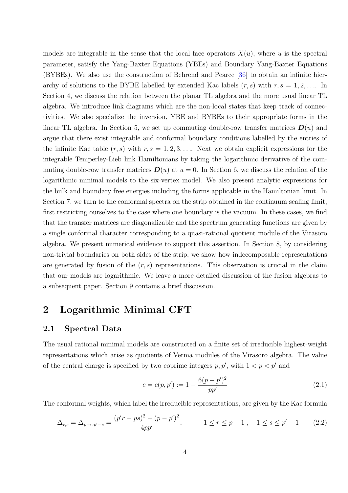models are integrable in the sense that the local face operators  $X(u)$ , where u is the spectral parameter, satisfy the Yang-Baxter Equations (YBEs) and Boundary Yang-Baxter Equations (BYBEs). We also use the construction of Behrend and Pearce [\[36\]](#page-38-4) to obtain an infinite hierarchy of solutions to the BYBE labelled by extended Kac labels  $(r, s)$  with  $r, s = 1, 2, \ldots$  In Section 4, we discuss the relation between the planar TL algebra and the more usual linear TL algebra. We introduce link diagrams which are the non-local states that keep track of connectivities. We also specialize the inversion, YBE and BYBEs to their appropriate forms in the linear TL algebra. In Section 5, we set up commuting double-row transfer matrices  $\mathbf{D}(u)$  and argue that there exist integrable and conformal boundary conditions labelled by the entries of the infinite Kac table  $(r, s)$  with  $r, s = 1, 2, 3, \ldots$  Next we obtain explicit expressions for the integrable Temperley-Lieb link Hamiltonians by taking the logarithmic derivative of the commuting double-row transfer matrices  $\mathbf{D}(u)$  at  $u = 0$ . In Section 6, we discuss the relation of the logarithmic minimal models to the six-vertex model. We also present analytic expressions for the bulk and boundary free energies including the forms applicable in the Hamiltonian limit. In Section 7, we turn to the conformal spectra on the strip obtained in the continuum scaling limit, first restricting ourselves to the case where one boundary is the vacuum. In these cases, we find that the transfer matrices are diagonalizable and the spectrum generating functions are given by a single conformal character corresponding to a quasi-rational quotient module of the Virasoro algebra. We present numerical evidence to support this assertion. In Section 8, by considering non-trivial boundaries on both sides of the strip, we show how indecomposable representations are generated by fusion of the  $(r, s)$  representations. This observation is crucial in the claim that our models are logarithmic. We leave a more detailed discussion of the fusion algebras to a subsequent paper. Section 9 contains a brief discussion.

## 2 Logarithmic Minimal CFT

#### 2.1 Spectral Data

The usual rational minimal models are constructed on a finite set of irreducible highest-weight representations which arise as quotients of Verma modules of the Virasoro algebra. The value of the central charge is specified by two coprime integers  $p, p'$ , with  $1 < p < p'$  and

$$
c = c(p, p') := 1 - \frac{6(p - p')^2}{pp'} \tag{2.1}
$$

The conformal weights, which label the irreducible representations, are given by the Kac formula

$$
\Delta_{r,s} = \Delta_{p-r,p'-s} = \frac{(p'r - ps)^2 - (p - p')^2}{4pp'}, \qquad 1 \le r \le p - 1, \quad 1 \le s \le p' - 1 \qquad (2.2)
$$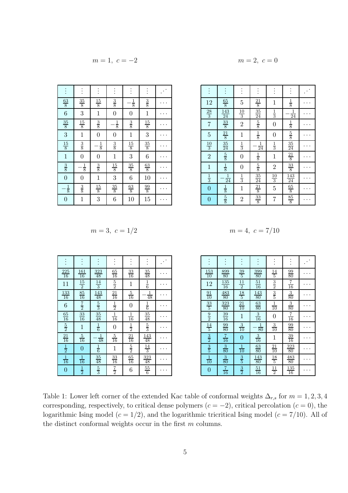$$
m = 1, c = -2 \qquad m = 2, c = 0
$$

$$
m=2, c=0
$$

| $\frac{63}{8}$   | $\frac{35}{8}$   | $\frac{15}{8}$   | $\frac{3}{8}$    | $\frac{1}{8}$  | $\frac{3}{8}$  |  |
|------------------|------------------|------------------|------------------|----------------|----------------|--|
| $\overline{6}$   | 3                | $\mathbf{1}$     | $\overline{0}$   | $\overline{0}$ | 1              |  |
| $\frac{35}{8}$   | $\frac{15}{8}$   | $\frac{3}{8}$    | $\frac{1}{8}$    | $\frac{3}{8}$  | $\frac{15}{8}$ |  |
| 3                | $\mathbf{1}$     | $\overline{0}$   | $\boldsymbol{0}$ | $\mathbf{1}$   | 3              |  |
| $\frac{15}{8}$   | $\frac{3}{8}$    | $\frac{1}{8}$    | $\frac{3}{8}$    | $\frac{15}{8}$ | $\frac{35}{8}$ |  |
| $\mathbf{1}$     | $\overline{0}$   | $\boldsymbol{0}$ | $\mathbf{1}$     | 3              | 6              |  |
| $\frac{3}{8}$    | $\frac{1}{8}$    | $\frac{3}{8}$    | $\frac{15}{8}$   | $\frac{35}{8}$ | $\frac{63}{8}$ |  |
| $\overline{0}$   | $\boldsymbol{0}$ | $\mathbf{1}$     | 3                | 6              | 10             |  |
| $-\frac{1}{8}$   | $\frac{3}{8}$    | $\frac{15}{8}$   | $\frac{35}{8}$   | $\frac{63}{8}$ | $\frac{99}{8}$ |  |
| $\boldsymbol{0}$ | $\mathbf{1}$     | 3                | 6                | 10             | 15             |  |

|                | $\ddot{\cdot}$                               |                |                                |                |                                                                                                                      |  |
|----------------|----------------------------------------------|----------------|--------------------------------|----------------|----------------------------------------------------------------------------------------------------------------------|--|
| 12             | $\frac{65}{8}$                               | $\overline{5}$ | $\frac{21}{8}$                 | $\mathbf{1}$   | $\frac{1}{8}$                                                                                                        |  |
| $\frac{28}{3}$ | $\frac{143}{24}$                             | $\frac{10}{3}$ | $\frac{35}{24}$ $\frac{5}{8}$  | $\frac{1}{3}$  | $\frac{1}{24}$                                                                                                       |  |
| $\overline{7}$ | $\frac{33}{8}$                               | $\overline{2}$ |                                | $\overline{0}$ | $\frac{1}{8}$                                                                                                        |  |
| $\overline{5}$ | $\frac{21}{8}$ $\frac{35}{24}$ $\frac{5}{8}$ | $\mathbf{1}$   | $\frac{1}{8}$                  | $\overline{0}$ | $rac{5}{8}$                                                                                                          |  |
| $\frac{10}{3}$ |                                              | $\frac{1}{3}$  | $\frac{1}{24}$                 | $\frac{1}{3}$  | $\frac{35}{24}$ $\frac{21}{8}$                                                                                       |  |
| $\overline{2}$ |                                              | $\overline{0}$ | $\frac{1}{8}$                  | $\mathbf 1$    |                                                                                                                      |  |
| $\mathbf 1$    | $\frac{1}{8}$                                | $\overline{0}$ | $rac{5}{8}$                    | $\overline{2}$ |                                                                                                                      |  |
| $\frac{1}{3}$  | $\frac{1}{24}$                               | $\frac{1}{3}$  |                                | $\frac{10}{3}$ |                                                                                                                      |  |
| $\overline{0}$ | $\frac{1}{8}$                                | $\mathbf{1}$   | $\frac{35}{24}$ $\frac{21}{8}$ | 5              | $\begin{array}{r}\n 33 \\  \hline\n 8 \\  \hline\n 143 \\  \hline\n 24 \\  \hline\n 65 \\  \hline\n 8\n \end{array}$ |  |
| $\overline{0}$ | $rac{5}{8}$                                  | $\overline{2}$ | $\frac{33}{8}$                 | 7              | $\frac{85}{8}$                                                                                                       |  |

$$
m = 3, \ c = 1/2 \qquad \qquad m = 4, \ c = 7/10
$$

|                  |                               | $\ddot{\cdot}$                 | $\vdots$        |                  | $\vdots$                        |  |
|------------------|-------------------------------|--------------------------------|-----------------|------------------|---------------------------------|--|
| $\frac{225}{16}$ | $\frac{161}{16}$              | $\frac{323}{48}$               | $\frac{65}{16}$ | $\frac{33}{16}$  | $\frac{35}{48}$                 |  |
| 11               | $\frac{15}{2}$                | $\frac{14}{3}$                 | $\frac{5}{2}$   | $\mathbf{1}$     | $\frac{1}{6}$                   |  |
| $\frac{133}{16}$ | $\frac{85}{16}$ $\frac{7}{2}$ | $\frac{143}{48}$ $\frac{5}{3}$ | $\frac{21}{16}$ | $\frac{5}{16}$   | $\frac{1}{48}$                  |  |
| 6                |                               |                                | $\frac{1}{2}$   | $\boldsymbol{0}$ | $\frac{1}{6}$                   |  |
| $\frac{65}{16}$  | $\frac{33}{16}$               | $\frac{35}{48}$                | $\frac{1}{16}$  | $\frac{1}{16}$   | $\frac{35}{48}$                 |  |
| $\frac{5}{2}$    | $\mathbf{1}$                  | $\frac{1}{6}$                  | $\overline{0}$  | $\frac{1}{2}$    | $\frac{5}{3}$                   |  |
| $\frac{21}{16}$  | $\frac{5}{16}$                | $\frac{1}{48}$                 | $\frac{5}{16}$  | $\frac{21}{16}$  | $\frac{143}{48}$                |  |
| $\frac{1}{2}$    | $\overline{0}$                | $\frac{1}{6}$                  | $\mathbf 1$     | $\frac{5}{2}$    | $\frac{14}{3}$                  |  |
| $\frac{1}{16}$   | $\frac{1}{16}$                | $\frac{35}{48}$                | $\frac{33}{16}$ | $\frac{65}{16}$  | $\frac{323}{48}$ $\frac{55}{6}$ |  |
| 0                | $\frac{1}{2}$                 | $\frac{5}{3}$                  | $rac{7}{2}$     | 6                |                                 |  |

| m<br>ı |  |  |  |  | 1 |  |
|--------|--|--|--|--|---|--|
|--------|--|--|--|--|---|--|

| $\frac{153}{10}$                                         | $\frac{899}{80}$ | $\frac{39}{5}$                                | $\frac{399}{80}$ | $\frac{14}{5}$                                       | $\frac{99}{80}$  |  |
|----------------------------------------------------------|------------------|-----------------------------------------------|------------------|------------------------------------------------------|------------------|--|
| 12                                                       | $\frac{135}{16}$ | $\frac{11}{2}$ $\frac{18}{5}$ $\frac{21}{10}$ | $\frac{51}{16}$  | $\frac{3}{2}$                                        | $\frac{7}{16}$   |  |
|                                                          | $\frac{483}{80}$ |                                               | $\frac{143}{80}$ | $\frac{3}{5}$                                        | $\frac{3}{80}$   |  |
| $\frac{91}{10}$ $\frac{33}{5}$                           | $\frac{323}{80}$ |                                               | $\frac{63}{80}$  | $\frac{1}{10}$                                       | $\frac{3}{80}$   |  |
|                                                          | $\frac{39}{16}$  | $\mathbf{1}$                                  | $\frac{3}{16}$   | $\overline{0}$                                       | $\frac{7}{16}$   |  |
|                                                          | $\frac{99}{80}$  | $\frac{3}{10}$                                | $\frac{1}{80}$   | $\frac{3}{10}$                                       | $\frac{99}{80}$  |  |
|                                                          | $\frac{7}{16}$   | $\overline{0}$                                | $\frac{3}{16}$   | $\mathbf{1}$                                         | $\frac{39}{16}$  |  |
| $\frac{9}{2}$ $\frac{14}{5}$ $\frac{3}{2}$ $\frac{3}{5}$ | $\frac{3}{80}$   | $\frac{1}{10}$                                | $\frac{63}{80}$  |                                                      | $\frac{323}{80}$ |  |
| $\frac{1}{10}$                                           | $\frac{3}{80}$   | $\frac{3}{5}$                                 | $\frac{143}{80}$ | $\frac{21}{10}$<br>$\frac{18}{5}$<br>$\frac{11}{11}$ | $\frac{483}{80}$ |  |
| $\overline{0}$                                           | $\frac{7}{16}$   | $\frac{3}{2}$                                 | $\frac{51}{16}$  |                                                      | $\frac{135}{16}$ |  |

Table 1: Lower left corner of the extended Kac table of conformal weights  $\Delta_{r,s}$  for  $m = 1, 2, 3, 4$ corresponding, respectively, to critical dense polymers  $(c = -2)$ , critical percolation  $(c = 0)$ , the logarithmic Ising model ( $c = 1/2$ ), and the logarithmic tricritical Ising model ( $c = 7/10$ ). All of the distinct conformal weights occur in the first  $m$  columns.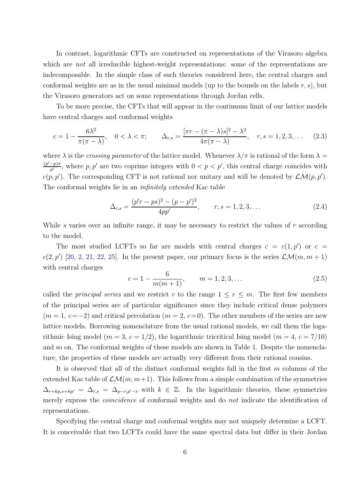In contrast, logarithmic CFTs are constructed on representations of the Virasoro algebra which are *not* all irreducible highest-weight representations: some of the representations are indecomposable. In the simple class of such theories considered here, the central charges and conformal weights are as in the usual minimal models (up to the bounds on the labels  $r, s$ ), but the Virasoro generators act on some representations through Jordan cells.

To be more precise, the CFTs that will appear in the continuum limit of our lattice models have central charges and conformal weights

<span id="page-5-0"></span>
$$
c = 1 - \frac{6\lambda^2}{\pi(\pi - \lambda)}, \quad 0 < \lambda < \pi; \qquad \Delta_{r,s} = \frac{[\pi r - (\pi - \lambda)s]^2 - \lambda^2}{4\pi(\pi - \lambda)}, \quad r, s = 1, 2, 3, \dots \tag{2.3}
$$

where  $\lambda$  is the *crossing parameter* of the lattice model. Whenever  $\lambda/\pi$  is rational of the form  $\lambda =$  $(p'-p)\pi$  $\frac{-p}{p'}$ , where p, p' are two coprime integers with  $0 < p < p'$ , this central charge coincides with  $c(p, p')$ . The corresponding CFT is not rational nor unitary and will be denoted by  $\mathcal{LM}(p, p')$ . The conformal weights lie in an *infinitely extended* Kac table

$$
\Delta_{r,s} = \frac{(p'r - ps)^2 - (p - p')^2}{4pp'}, \qquad r, s = 1, 2, 3, \dots
$$
\n(2.4)

While s varies over an infinite range, it may be necessary to restrict the values of  $r$  according to the model.

The most studied LCFTs so far are models with central charges  $c = c(1, p')$  or  $c =$  $c(2, p')$  $c(2, p')$  $c(2, p')$  [\[20,](#page-37-3) 2, [21,](#page-37-4) [22,](#page-37-14) [25\]](#page-37-7). In the present paper, our primary focus is the series  $\mathcal{LM}(m, m+1)$ with central charges

$$
c = 1 - \frac{6}{m(m+1)}, \qquad m = 1, 2, 3, \dots
$$
\n(2.5)

called the *principal series* and we restrict r to the range  $1 \leq r \leq m$ . The first few members of the principal series are of particular significance since they include critical dense polymers  $(m = 1, c = -2)$  and critical percolation  $(m = 2, c = 0)$ . The other members of the series are new lattice models. Borrowing nomenclature from the usual rational models, we call them the logarithmic Ising model ( $m = 3$ ,  $c = 1/2$ ), the logarithmic tricritical Ising model ( $m = 4$ ,  $c = 7/10$ ) and so on. The conformal weights of these models are shown in Table 1. Despite the nomenclature, the properties of these models are actually very different from their rational cousins.

It is observed that all of the distinct conformal weights fall in the first  $m$  columns of the extended Kac table of  $\mathcal{LM}(m, m+1)$ . This follows from a simple combination of the symmetries  $\Delta_{r+kp,s+kp'} = \Delta_{r,s} = \Delta_{p-r,p'-s}$  with  $k \in \mathbb{Z}$ . In the logarithmic theories, these symmetries merely express the coincidence of conformal weights and do not indicate the identification of representations.

Specifying the central charge and conformal weights may not uniquely determine a LCFT. It is conceivable that two LCFTs could have the same spectral data but differ in their Jordan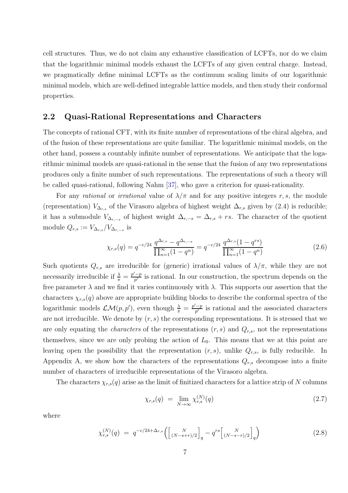cell structures. Thus, we do not claim any exhaustive classification of LCFTs, nor do we claim that the logarithmic minimal models exhaust the LCFTs of any given central charge. Instead, we pragmatically define minimal LCFTs as the continuum scaling limits of our logarithmic minimal models, which are well-defined integrable lattice models, and then study their conformal properties.

#### 2.2 Quasi-Rational Representations and Characters

The concepts of rational CFT, with its finite number of representations of the chiral algebra, and of the fusion of these representations are quite familiar. The logarithmic minimal models, on the other hand, possess a countably infinite number of representations. We anticipate that the logarithmic minimal models are quasi-rational in the sense that the fusion of any two representations produces only a finite number of such representations. The representations of such a theory will be called quasi-rational, following Nahm [\[37\]](#page-38-5), who gave a criterion for quasi-rationality.

For any rational or irrational value of  $\lambda/\pi$  and for any positive integers r, s, the module (representation)  $V_{\Delta_{r,s}}$  of the Virasoro algebra of highest weight  $\Delta_{r,s}$  given by (2.4) is reducible; it has a submodule  $V_{\Delta_{r,-s}}$  of highest weight  $\Delta_{r,-s} = \Delta_{r,s} + rs$ . The character of the quotient module  $Q_{r,s} := V_{\Delta_{r,s}}/V_{\Delta_{r,-s}}$  is

$$
\chi_{r,s}(q) = q^{-c/24} \frac{q^{\Delta_{r,s}} - q^{\Delta_{r,-s}}}{\prod_{n=1}^{\infty} (1 - q^n)} = q^{-c/24} \frac{q^{\Delta_{r,s}} (1 - q^{rs})}{\prod_{n=1}^{\infty} (1 - q^n)}
$$
(2.6)

Such quotients  $Q_{r,s}$  are irreducible for (generic) irrational values of  $\lambda/\pi$ , while they are not necessarily irreducible if  $\frac{\lambda}{\pi} = \frac{p'-p}{p'}$  $\frac{-p}{p'}$  is rational. In our construction, the spectrum depends on the free parameter  $\lambda$  and we find it varies continuously with  $\lambda$ . This supports our assertion that the characters  $\chi_{r,s}(q)$  above are appropriate building blocks to describe the conformal spectra of the logarithmic models  $\mathcal{LM}(p, p')$ , even though  $\frac{\lambda}{\pi} = \frac{p'-p}{p'}$  $\frac{-p}{p'}$  is rational and the associated characters are not irreducible. We denote by  $(r, s)$  the corresponding representations. It is stressed that we are only equating the *characters* of the representations  $(r, s)$  and  $Q_{r,s}$ , not the representations themselves, since we are only probing the action of  $L_0$ . This means that we at this point are leaving open the possibility that the representation  $(r, s)$ , unlike  $Q_{r,s}$ , is fully reducible. In Appendix A, we show how the characters of the representations  $Q_{r,s}$  decompose into a finite number of characters of irreducible representations of the Virasoro algebra.

The characters  $\chi_{r,s}(q)$  arise as the limit of finitized characters for a lattice strip of N columns

$$
\chi_{r,s}(q) = \lim_{N \to \infty} \chi_{r,s}^{(N)}(q) \tag{2.7}
$$

where

<span id="page-6-0"></span>
$$
\chi_{r,s}^{(N)}(q) = q^{-c/24 + \Delta_{r,s}} \left( \begin{bmatrix} N \\ (N-s+r)/2 \end{bmatrix}_q - q^{rs} \begin{bmatrix} N \\ (N-s-r)/2 \end{bmatrix}_q \right) \tag{2.8}
$$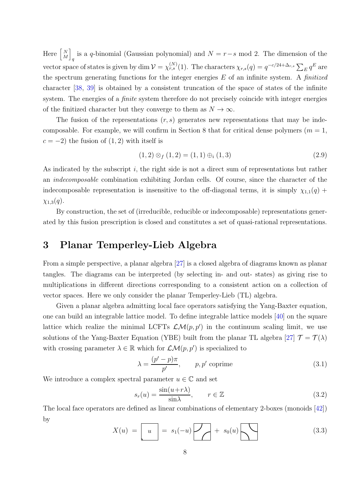Here  $\begin{bmatrix} N \\ M \end{bmatrix}$ M i is a q-binomial (Gaussian polynomial) and  $N = r - s$  mod 2. The dimension of the vector space of states is given by dim  $V = \chi_{r,s}^{(N)}(1)$ . The characters  $\chi_{r,s}(q) = q^{-c/24 + \Delta_{r,s}} \sum_E q^E$  are the spectrum generating functions for the integer energies  $E$  of an infinite system. A finitized character [\[38,](#page-38-6) [39\]](#page-38-7) is obtained by a consistent truncation of the space of states of the infinite system. The energies of a *finite* system therefore do not precisely coincide with integer energies of the finitized character but they converge to them as  $N \to \infty$ .

The fusion of the representations  $(r, s)$  generates new representations that may be indecomposable. For example, we will confirm in Section 8 that for critical dense polymers  $(m = 1,$  $c = -2$ ) the fusion of  $(1, 2)$  with itself is

$$
(1,2) \otimes_f (1,2) = (1,1) \oplus_i (1,3) \tag{2.9}
$$

As indicated by the subscript  $i$ , the right side is not a direct sum of representations but rather an indecomposable combination exhibiting Jordan cells. Of course, since the character of the indecomposable representation is insensitive to the off-diagonal terms, it is simply  $\chi_{1,1}(q)$  +  $\chi_{1,3}(q)$ .

By construction, the set of (irreducible, reducible or indecomposable) representations generated by this fusion prescription is closed and constitutes a set of quasi-rational representations.

## 3 Planar Temperley-Lieb Algebra

From a simple perspective, a planar algebra [\[27\]](#page-37-9) is a closed algebra of diagrams known as planar tangles. The diagrams can be interpreted (by selecting in- and out- states) as giving rise to multiplications in different directions corresponding to a consistent action on a collection of vector spaces. Here we only consider the planar Temperley-Lieb (TL) algebra.

Given a planar algebra admitting local face operators satisfying the Yang-Baxter equation, one can build an integrable lattice model. To define integrable lattice models [\[40\]](#page-38-8) on the square lattice which realize the minimal LCFTs  $\mathcal{LM}(p, p')$  in the continuum scaling limit, we use solutions of the Yang-Baxter Equation (YBE) built from the planar TL algebra [\[27\]](#page-37-9)  $\mathcal{T} = \mathcal{T}(\lambda)$ with crossing parameter  $\lambda \in \mathbb{R}$  which for  $\mathcal{LM}(p, p')$  is specialized to

$$
\lambda = \frac{(p' - p)\pi}{p'}, \qquad p, p' \text{ coprime}
$$
\n(3.1)

We introduce a complex spectral parameter  $u \in \mathbb{C}$  and set

$$
s_r(u) = \frac{\sin(u + r\lambda)}{\sin\lambda}, \qquad r \in \mathbb{Z}
$$
\n(3.2)

The local face operators are defined as linear combinations of elementary 2-boxes (monoids [\[42\]](#page-38-9)) by

$$
X(u) = \boxed{u} = s_1(-u) \boxed{\phantom{0}} + s_0(u) \boxed{\phantom{0}} \tag{3.3}
$$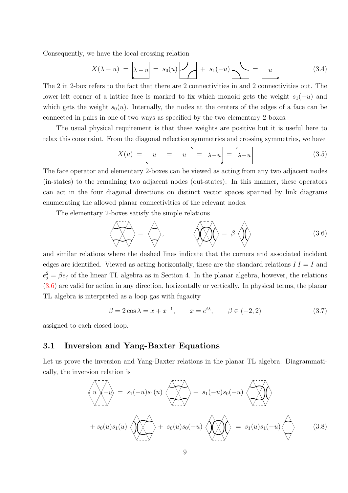Consequently, we have the local crossing relation

$$
X(\lambda - u) = \lambda - u = s_0(u) \lambda + s_1(-u) \lambda = u \qquad (3.4)
$$

The 2 in 2-box refers to the fact that there are 2 connectivities in and 2 connectivities out. The lower-left corner of a lattice face is marked to fix which monoid gets the weight  $s_1(-u)$  and which gets the weight  $s_0(u)$ . Internally, the nodes at the centers of the edges of a face can be connected in pairs in one of two ways as specified by the two elementary 2-boxes.

The usual physical requirement is that these weights are positive but it is useful here to relax this constraint. From the diagonal reflection symmetries and crossing symmetries, we have

$$
X(u) = \boxed{u} = \boxed{u} = \boxed{\lambda - u} = \boxed{\lambda - u} \tag{3.5}
$$

The face operator and elementary 2-boxes can be viewed as acting from any two adjacent nodes (in-states) to the remaining two adjacent nodes (out-states). In this manner, these operators can act in the four diagonal directions on distinct vector spaces spanned by link diagrams enumerating the allowed planar connectivities of the relevant nodes.

The elementary 2-boxes satisfy the simple relations

<span id="page-8-0"></span>
$$
\left\langle \bigotimes_{i=1}^{n} \bigotimes_{j=1}^{n} G_{i} \right\rangle = \beta \left\langle \bigotimes_{i=1}^{n} \bigotimes_{j=1}^{n} G_{i} \right\rangle
$$
 (3.6)

and similar relations where the dashed lines indicate that the corners and associated incident edges are identified. Viewed as acting horizontally, these are the standard relations  $II = I$  and  $e_j^2 = \beta e_j$  of the linear TL algebra as in Section 4. In the planar algebra, however, the relations [\(3.6\)](#page-8-0) are valid for action in any direction, horizontally or vertically. In physical terms, the planar TL algebra is interpreted as a loop gas with fugacity

$$
\beta = 2\cos\lambda = x + x^{-1}, \qquad x = e^{i\lambda}, \qquad \beta \in (-2, 2)
$$
 (3.7)

assigned to each closed loop.

#### 3.1 Inversion and Yang-Baxter Equations

Let us prove the inversion and Yang-Baxter relations in the planar TL algebra. Diagrammatically, the inversion relation is

$$
\langle u \rangle - u \rangle = s_1(-u)s_1(u) \langle \rangle + s_1(-u)s_0(-u) \langle \rangle
$$
  
+  $s_0(u)s_1(u) \langle \rangle + s_0(u)s_0(u) s_0(-u) \langle \rangle$   

$$
\langle u \rangle - u \rangle = s_1(u)s_1(-u) \langle \rangle
$$
 (3.8)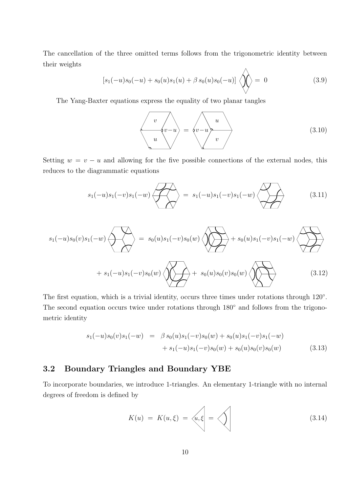The cancellation of the three omitted terms follows from the trigonometric identity between their weights  $\lambda$ 

$$
[s_1(-u)s_0(-u) + s_0(u)s_1(u) + \beta s_0(u)s_0(-u)] \left\langle \bigotimes_{i=1}^{n} \right\rangle = 0 \qquad (3.9)
$$

The Yang-Baxter equations express the equality of two planar tangles

$$
\langle v - u \rangle = \langle v - u \rangle \frac{u}{v}
$$
 (3.10)

Setting  $w = v - u$  and allowing for the five possible connections of the external nodes, this reduces to the diagrammatic equations

$$
s_1(-u)s_1(-v)s_1(-w)\n\begin{matrix}\n\downarrow \\
\downarrow \\
\downarrow\n\end{matrix}\n= s_1(-u)s_1(-v)s_1(-w)\n\begin{matrix}\n\downarrow \\
\downarrow \\
\downarrow\n\end{matrix}
$$
\n(3.11)

s1(−u)s0(v)s1(−w) = s0(u)s1(−v)s0(w) + s0(u)s1(−v)s1(−w) + s1(−u)s1(−v)s0(w) + s0(u)s0(v)s0(w) (3.12)

The first equation, which is a trivial identity, occurs three times under rotations through  $120°$ . The second equation occurs twice under rotations through 180<sup>°</sup> and follows from the trigonometric identity

$$
s_1(-u)s_0(v)s_1(-w) = \beta s_0(u)s_1(-v)s_0(w) + s_0(u)s_1(-v)s_1(-w) + s_1(-u)s_1(-v)s_0(w) + s_0(u)s_0(v)s_0(w)
$$
(3.13)

### 3.2 Boundary Triangles and Boundary YBE

To incorporate boundaries, we introduce 1-triangles. An elementary 1-triangle with no internal degrees of freedom is defined by

$$
K(u) = K(u,\xi) = \left\langle u, \xi \right| = \left\langle \right\rangle \tag{3.14}
$$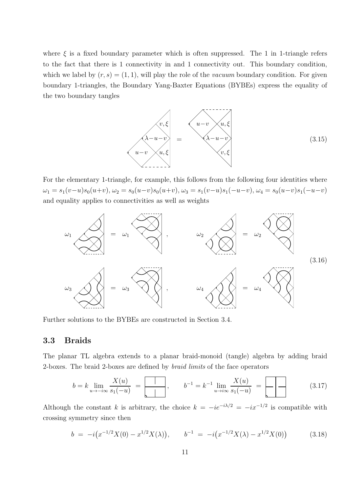where  $\xi$  is a fixed boundary parameter which is often suppressed. The 1 in 1-triangle refers to the fact that there is 1 connectivity in and 1 connectivity out. This boundary condition, which we label by  $(r, s) = (1, 1)$ , will play the role of the *vacuum* boundary condition. For given boundary 1-triangles, the Boundary Yang-Baxter Equations (BYBEs) express the equality of the two boundary tangles



For the elementary 1-triangle, for example, this follows from the following four identities where  $\omega_1 = s_1(v-u)s_0(u+v), \omega_2 = s_0(u-v)s_0(u+v), \omega_3 = s_1(v-u)s_1(-u-v), \omega_4 = s_0(u-v)s_1(-u-v)$ and equality applies to connectivities as well as weights



Further solutions to the BYBEs are constructed in Section 3.4.

#### 3.3 Braids

The planar TL algebra extends to a planar braid-monoid (tangle) algebra by adding braid 2-boxes. The braid 2-boxes are defined by braid limits of the face operators

<sup>b</sup> <sup>=</sup> <sup>k</sup> lim <sup>u</sup>→−i<sup>∞</sup> X(u) s1(−u) = , b<sup>−</sup><sup>1</sup> = k −1 limu→i<sup>∞</sup> X(u) s1(−u) = (3.17)

Although the constant k is arbitrary, the choice  $k = -ie^{-i\lambda/2} = -ix^{-1/2}$  is compatible with crossing symmetry since then

$$
b = -i(x^{-1/2}X(0) - x^{1/2}X(\lambda)), \qquad b^{-1} = -i(x^{-1/2}X(\lambda) - x^{1/2}X(0)) \tag{3.18}
$$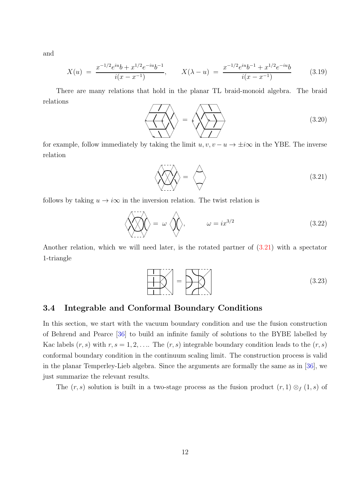and

$$
X(u) = \frac{x^{-1/2}e^{iu}b + x^{1/2}e^{-iu}b^{-1}}{i(x - x^{-1})}, \qquad X(\lambda - u) = \frac{x^{-1/2}e^{iu}b^{-1} + x^{1/2}e^{-iu}b}{i(x - x^{-1})}
$$
(3.19)

There are many relations that hold in the planar TL braid-monoid algebra. The braid relations

$$
\left\langle \left\langle \left\langle \right\rangle \right\rangle \right\rangle = \left\langle \left\langle \left\langle \left\langle \right\rangle \right\rangle \right\rangle \right\rangle \tag{3.20}
$$

for example, follow immediately by taking the limit  $u, v, v - u \rightarrow \pm i\infty$  in the YBE. The inverse relation

<span id="page-11-0"></span>
$$
\left\langle \bigotimes \right\rangle = \left\langle \bigotimes \right\rangle
$$
 (3.21)

follows by taking  $u \to i\infty$  in the inversion relation. The twist relation is

$$
\left\langle \bigotimes_{i=1}^{n} \right\rangle = \omega \left\langle \bigotimes_{i=1}^{n} \right\rangle, \qquad \omega = ix^{3/2}
$$
 (3.22)

Another relation, which we will need later, is the rotated partner of [\(3.21\)](#page-11-0) with a spectator 1-triangle

<span id="page-11-1"></span>
$$
\left| \bigcup_{1 \leq i \leq n} \right| = \left| \bigcup_{1 \leq i \leq n} \left| \bigcup_{1 \leq i \leq n} \left( 3.23 \right) \right| \right|
$$
 (3.23)

#### 3.4 Integrable and Conformal Boundary Conditions

In this section, we start with the vacuum boundary condition and use the fusion construction of Behrend and Pearce [\[36\]](#page-38-4) to build an infinite family of solutions to the BYBE labelled by Kac labels  $(r, s)$  with  $r, s = 1, 2, \ldots$  The  $(r, s)$  integrable boundary condition leads to the  $(r, s)$ conformal boundary condition in the continuum scaling limit. The construction process is valid in the planar Temperley-Lieb algebra. Since the arguments are formally the same as in [\[36\]](#page-38-4), we just summarize the relevant results.

The  $(r, s)$  solution is built in a two-stage process as the fusion product  $(r, 1) \otimes_f (1, s)$  of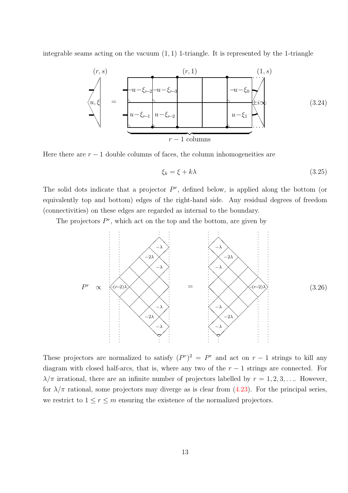integrable seams acting on the vacuum  $(1, 1)$  1-triangle. It is represented by the 1-triangle



Here there are  $r - 1$  double columns of faces, the column inhomogeneities are

$$
\xi_k = \xi + k\lambda \tag{3.25}
$$

The solid dots indicate that a projector  $P^r$ , defined below, is applied along the bottom (or equivalently top and bottom) edges of the right-hand side. Any residual degrees of freedom (connectivities) on these edges are regarded as internal to the boundary.

The projectors  $P^r$ , which act on the top and the bottom, are given by



These projectors are normalized to satisfy  $(P<sup>r</sup>)<sup>2</sup> = P<sup>r</sup>$  and act on  $r - 1$  strings to kill any diagram with closed half-arcs, that is, where any two of the  $r - 1$  strings are connected. For  $\lambda/\pi$  irrational, there are an infinite number of projectors labelled by  $r = 1, 2, 3, \ldots$  However, for  $\lambda/\pi$  rational, some projectors may diverge as is clear from [\(4.23\)](#page-19-0). For the principal series, we restrict to  $1 \le r \le m$  ensuring the existence of the normalized projectors.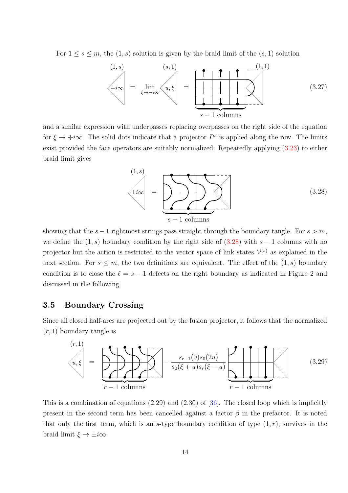For  $1 \leq s \leq m$ , the  $(1, s)$  solution is given by the braid limit of the  $(s, 1)$  solution



and a similar expression with underpasses replacing overpasses on the right side of the equation for  $\xi \to +i\infty$ . The solid dots indicate that a projector  $P^s$  is applied along the row. The limits exist provided the face operators are suitably normalized. Repeatedly applying [\(3.23\)](#page-11-1) to either braid limit gives

<span id="page-13-0"></span>

showing that the  $s - 1$  rightmost strings pass straight through the boundary tangle. For  $s > m$ , we define the  $(1, s)$  boundary condition by the right side of  $(3.28)$  with  $s - 1$  columns with no projector but the action is restricted to the vector space of link states  $\mathcal{V}^{(s)}$  as explained in the next section. For  $s \leq m$ , the two definitions are equivalent. The effect of the  $(1, s)$  boundary condition is to close the  $\ell = s - 1$  defects on the right boundary as indicated in Figure 2 and discussed in the following.

#### 3.5 Boundary Crossing

Since all closed half-arcs are projected out by the fusion projector, it follows that the normalized  $(r, 1)$  boundary tangle is

<span id="page-13-1"></span>

This is a combination of equations  $(2.29)$  and  $(2.30)$  of  $[36]$ . The closed loop which is implicitly present in the second term has been cancelled against a factor  $\beta$  in the prefactor. It is noted that only the first term, which is an s-type boundary condition of type  $(1, r)$ , survives in the braid limit  $\xi \to \pm i\infty$ .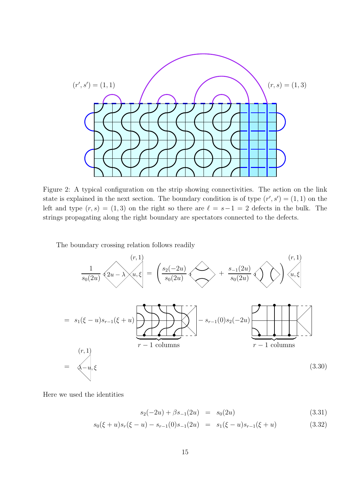

Figure 2: A typical configuration on the strip showing connectivities. The action on the link state is explained in the next section. The boundary condition is of type  $(r', s') = (1, 1)$  on the left and type  $(r, s) = (1, 3)$  on the right so there are  $\ell = s-1 = 2$  defects in the bulk. The strings propagating along the right boundary are spectators connected to the defects.

The boundary crossing relation follows readily

<span id="page-14-0"></span>
$$
\frac{1}{s_0(2u)}\sqrt{2u-\lambda/u, \xi} = \left(\frac{s_2(-2u)}{s_0(2u)}\sqrt{\lambda} + \frac{s_{-1}(2u)}{s_0(2u)}\sqrt{\lambda}\right)\sqrt{u, \xi}
$$
\n
$$
= s_1(\xi-u)s_{r-1}(\xi+u) \sum_{r-1 \text{ columns}} \left(-s_{r-1}(0)s_2(-2u)\right)\sqrt{\lambda}u, \xi
$$
\n
$$
= \sqrt{-u, \xi}
$$
\n(3.30)

Here we used the identities

$$
s_2(-2u) + \beta s_{-1}(2u) = s_0(2u) \tag{3.31}
$$

$$
s_0(\xi + u)s_r(\xi - u) - s_{r-1}(0)s_{-1}(2u) = s_1(\xi - u)s_{r-1}(\xi + u)
$$
\n(3.32)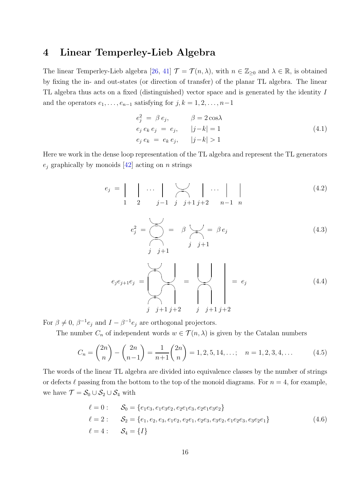## 4 Linear Temperley-Lieb Algebra

The linear Temperley-Lieb algebra [\[26,](#page-37-8) [41\]](#page-38-10)  $\mathcal{T} = \mathcal{T}(n, \lambda)$ , with  $n \in \mathbb{Z}_{\geq 0}$  and  $\lambda \in \mathbb{R}$ , is obtained by fixing the in- and out-states (or direction of transfer) of the planar TL algebra. The linear TL algebra thus acts on a fixed (distinguished) vector space and is generated by the identity I and the operators  $e_1, \ldots, e_{n-1}$  satisfying for  $j, k = 1, 2, \ldots, n-1$ 

$$
e_j^2 = \beta e_j, \qquad \beta = 2 \cos \lambda
$$
  
\n
$$
e_j e_k e_j = e_j, \qquad |j - k| = 1
$$
  
\n
$$
e_j e_k = e_k e_j, \qquad |j - k| > 1
$$
\n(4.1)

Here we work in the dense loop representation of the TL algebra and represent the TL generators  $e_i$  graphically by monoids [\[42\]](#page-38-9) acting on *n* strings

$$
e_j = \begin{vmatrix} \cdots & \cdots & \cdots \\ 1 & 2 & j-1 \end{vmatrix} \cdots \begin{vmatrix} \cdots & \cdots \\ j+1 & j+2 \end{vmatrix}
$$
 (4.2)

$$
e_j^2 = \bigotimes_j = \beta \bigotimes_j = \beta e_j
$$
\n(4.3)\n
$$
j \quad j+1
$$

$$
e_j e_{j+1} e_j = \left\lfloor \bigcup_{j} \bigcap_{j+1} \bigcap_{j+2} = \bigcap_{j} \bigcap_{j+1} \bigcap_{j+2} = e_j \tag{4.4}
$$

For  $\beta \neq 0$ ,  $\beta^{-1}e_j$  and  $I - \beta^{-1}e_j$  are orthogonal projectors.

The number  $C_n$  of independent words  $w \in \mathcal{T}(n, \lambda)$  is given by the Catalan numbers

$$
C_n = \binom{2n}{n} - \binom{2n}{n-1} = \frac{1}{n+1} \binom{2n}{n} = 1, 2, 5, 14, \dots; \quad n = 1, 2, 3, 4, \dots \tag{4.5}
$$

The words of the linear TL algebra are divided into equivalence classes by the number of strings or defects  $\ell$  passing from the bottom to the top of the monoid diagrams. For  $n = 4$ , for example, we have  $\mathcal{T} = \mathcal{S}_0 \cup \mathcal{S}_2 \cup \mathcal{S}_4$  with

$$
\ell = 0: \t S_0 = \{e_1e_3, e_1e_3e_2, e_2e_1e_3, e_2e_1e_3e_2\}
$$
  
\n
$$
\ell = 2: \t S_2 = \{e_1, e_2, e_3, e_1e_2, e_2e_1, e_2e_3, e_3e_2, e_1e_2e_3, e_3e_2e_1\}
$$
  
\n
$$
\ell = 4: \t S_4 = \{I\}
$$
\n(4.6)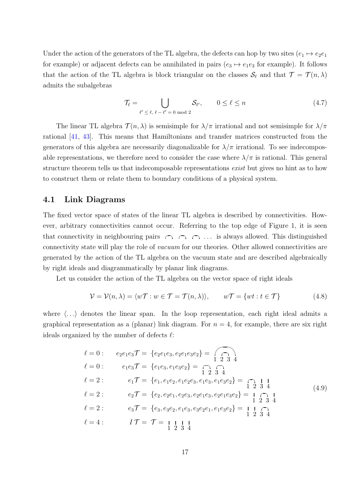Under the action of the generators of the TL algebra, the defects can hop by two sites  $(e_1 \mapsto e_2e_1)$ for example) or adjacent defects can be annihilated in pairs  $(e_3 \mapsto e_1e_3$  for example). It follows that the action of the TL algebra is block triangular on the classes  $\mathcal{S}_{\ell}$  and that  $\mathcal{T} = \mathcal{T}(n, \lambda)$ admits the subalgebras

$$
\mathcal{T}_{\ell} = \bigcup_{\ell' \leq \ell, \ \ell - \ell' = 0 \text{ mod } 2} \mathcal{S}_{\ell'}, \qquad 0 \leq \ell \leq n \tag{4.7}
$$

The linear TL algebra  $\mathcal{T}(n, \lambda)$  is semisimple for  $\lambda/\pi$  irrational and not semisimple for  $\lambda/\pi$ rational [\[41,](#page-38-10) [43\]](#page-38-11). This means that Hamiltonians and transfer matrices constructed from the generators of this algebra are necessarily diagonalizable for  $\lambda/\pi$  irrational. To see indecomposable representations, we therefore need to consider the case where  $\lambda/\pi$  is rational. This general structure theorem tells us that indecomposable representations *exist* but gives no hint as to how to construct them or relate them to boundary conditions of a physical system.

#### 4.1 Link Diagrams

The fixed vector space of states of the linear TL algebra is described by connectivities. However, arbitrary connectivities cannot occur. Referring to the top edge of Figure 1, it is seen that connectivity in neighbouring pairs  $\cap$   $\cap$   $\cap$   $\dots$  is always allowed. This distinguished connectivity state will play the role of vacuum for our theories. Other allowed connectivities are generated by the action of the TL algebra on the vacuum state and are described algebraically by right ideals and diagrammatically by planar link diagrams.

Let us consider the action of the TL algebra on the vector space of right ideals

$$
\mathcal{V} = \mathcal{V}(n, \lambda) = \langle w\mathcal{T} : w \in \mathcal{T} = \mathcal{T}(n, \lambda) \rangle, \qquad w\mathcal{T} = \{wt : t \in \mathcal{T}\}
$$
(4.8)

where  $\langle \ldots \rangle$  denotes the linear span. In the loop representation, each right ideal admits a graphical representation as a (planar) link diagram. For  $n = 4$ , for example, there are six right ideals organized by the number of defects  $\ell$ :

$$
\ell = 0: \qquad e_2e_1e_3 \mathcal{T} = \{e_2e_1e_3, e_2e_1e_3e_2\} = \bigcap_{1 \leq 2 \leq 3 \leq 4} \ell = 0: \qquad e_1e_3 \mathcal{T} = \{e_1e_3, e_1e_3e_2\} = \bigcap_{1 \leq 2 \leq 3 \leq 4} \ell = 2: \qquad e_1 \mathcal{T} = \{e_1, e_1e_2, e_1e_2e_3, e_1e_3, e_1e_3e_2\} = \bigcap_{1 \leq 2 \leq 3 \leq 4} \ell = 2: \qquad e_2 \mathcal{T} = \{e_2, e_2e_1, e_2e_3, e_2e_1e_3, e_2e_1e_3e_2\} = \bigcap_{1 \leq 2 \leq 3 \leq 4} \ell = 2: \qquad e_3 \mathcal{T} = \{e_3, e_3e_2, e_1e_3, e_3e_2e_1, e_1e_3e_2\} = \bigcap_{1 \leq 2 \leq 3 \leq 4} \ell = 4: \qquad I \mathcal{T} = \mathcal{T} = \bigcup_{1 \leq 2 \leq 3 \leq 4} \frac{1}{2 \cdot 3 \cdot 4} \ell = 4: \qquad I \mathcal{T} = \mathcal{T} = \bigcup_{1 \leq 2 \leq 3 \leq 4} \frac{1}{2 \cdot 3 \cdot 4} \ell = 4: \qquad I \mathcal{T} = \mathcal{T} = \bigcup_{1 \leq 2 \leq 3 \leq 4} \frac{1}{2 \cdot 3 \cdot 4} \ell = 4: \qquad I \mathcal{T} = \mathcal{T} = \bigcup_{1 \leq 2 \leq 3 \leq 4} \frac{1}{2 \cdot 3 \cdot 4} \ell = 4: \qquad I \mathcal{T} = \mathcal{T} = \bigcup_{1 \leq 2 \leq 3 \leq 4} \frac{1}{2 \cdot 3 \cdot 4} \ell = 4: \qquad I \mathcal{T} = \mathcal{T} = \bigcup_{1 \leq 2 \leq 3 \leq 4} \frac{1}{2 \cdot 3 \cdot 4} \ell = 4: \qquad I \mathcal{T} = \mathcal{T} = \bigcup_{1 \leq
$$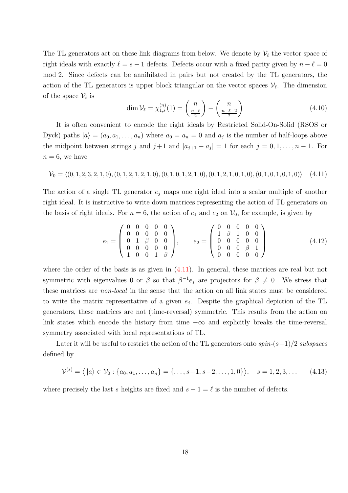The TL generators act on these link diagrams from below. We denote by  $\mathcal{V}_{\ell}$  the vector space of right ideals with exactly  $\ell = s - 1$  defects. Defects occur with a fixed parity given by  $n - \ell = 0$ mod 2. Since defects can be annihilated in pairs but not created by the TL generators, the action of the TL generators is upper block triangular on the vector spaces  $\mathcal{V}_{\ell}$ . The dimension of the space  $\mathcal{V}_{\ell}$  is

$$
\dim \mathcal{V}_{\ell} = \chi_{1,s}^{(n)}(1) = \binom{n}{\frac{n-\ell}{2}} - \binom{n}{\frac{n-\ell-2}{2}}
$$
\n
$$
(4.10)
$$

It is often convenient to encode the right ideals by Restricted Solid-On-Solid (RSOS or Dyck) paths  $|a\rangle = (a_0, a_1, \dots, a_n)$  where  $a_0 = a_n = 0$  and  $a_j$  is the number of half-loops above the midpoint between strings j and  $j+1$  and  $|a_{j+1} - a_j| = 1$  for each  $j = 0, 1, ..., n-1$ . For  $n = 6$ , we have

<span id="page-17-0"></span>
$$
\mathcal{V}_0 = \langle (0, 1, 2, 3, 2, 1, 0), (0, 1, 2, 1, 2, 1, 0), (0, 1, 0, 1, 2, 1, 0), (0, 1, 2, 1, 0, 1, 0), (0, 1, 0, 1, 0, 1, 0) \rangle \tag{4.11}
$$

The action of a single TL generator  $e_j$  maps one right ideal into a scalar multiple of another right ideal. It is instructive to write down matrices representing the action of TL generators on the basis of right ideals. For  $n = 6$ , the action of  $e_1$  and  $e_2$  on  $\mathcal{V}_0$ , for example, is given by

$$
e_1 = \begin{pmatrix} 0 & 0 & 0 & 0 & 0 \\ 0 & 0 & 0 & 0 & 0 \\ 0 & 1 & \beta & 0 & 0 \\ 0 & 0 & 0 & 0 & 0 \\ 1 & 0 & 0 & 1 & \beta \end{pmatrix}, \qquad e_2 = \begin{pmatrix} 0 & 0 & 0 & 0 & 0 \\ 1 & \beta & 1 & 0 & 0 \\ 0 & 0 & 0 & 0 & 0 \\ 0 & 0 & 0 & \beta & 1 \\ 0 & 0 & 0 & 0 & 0 \end{pmatrix}
$$
(4.12)

where the order of the basis is as given in  $(4.11)$ . In general, these matrices are real but not symmetric with eigenvalues 0 or  $\beta$  so that  $\beta^{-1}e_j$  are projectors for  $\beta \neq 0$ . We stress that these matrices are non-local in the sense that the action on all link states must be considered to write the matrix representative of a given  $e_j$ . Despite the graphical depiction of the TL generators, these matrices are not (time-reversal) symmetric. This results from the action on link states which encode the history from time  $-\infty$  and explicitly breaks the time-reversal symmetry associated with local representations of TL.

Later it will be useful to restrict the action of the TL generators onto  $spin-(s-1)/2$  subspaces defined by

<span id="page-17-1"></span>
$$
\mathcal{V}^{(s)} = \langle |a\rangle \in \mathcal{V}_0 : \{a_0, a_1, \dots, a_n\} = \{\dots, s-1, s-2, \dots, 1, 0\}\rangle, \quad s = 1, 2, 3, \dots \quad (4.13)
$$

where precisely the last s heights are fixed and  $s - 1 = \ell$  is the number of defects.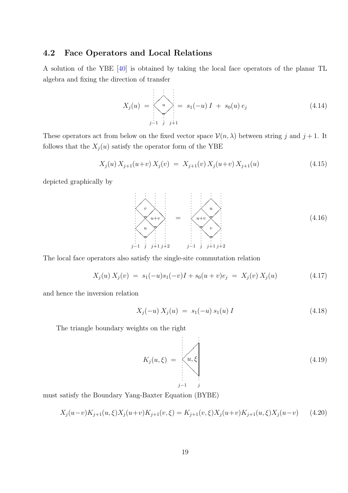#### 4.2 Face Operators and Local Relations

A solution of the YBE [\[40\]](#page-38-8) is obtained by taking the local face operators of the planar TL algebra and fixing the direction of transfer

$$
X_j(u) = \begin{cases} \n\vdots & \vdots & \vdots \\
u & \vdots & \vdots \\
\vdots & \vdots & \vdots \\
j-1 & j & j+1\n\end{cases} = s_1(-u) I + s_0(u) e_j \tag{4.14}
$$

These operators act from below on the fixed vector space  $\mathcal{V}(n, \lambda)$  between string j and j + 1. It follows that the  $X_j(u)$  satisfy the operator form of the YBE

$$
X_j(u) X_{j+1}(u+v) X_j(v) = X_{j+1}(v) X_j(u+v) X_{j+1}(u)
$$
\n(4.15)

depicted graphically by



The local face operators also satisfy the single-site commutation relation

<span id="page-18-0"></span>
$$
X_j(u) X_j(v) = s_1(-u)s_1(-v)I + s_0(u+v)e_j = X_j(v) X_j(u)
$$
\n(4.17)

and hence the inversion relation

$$
X_j(-u) X_j(u) = s_1(-u) s_1(u) I \tag{4.18}
$$

The triangle boundary weights on the right

$$
K_j(u,\xi) = \begin{cases} u,\xi \\ u,\xi \\ \vdots \\ i-1 \end{cases}
$$
 (4.19)

must satisfy the Boundary Yang-Baxter Equation (BYBE)

<span id="page-18-1"></span>
$$
X_j(u-v)K_{j+1}(u,\xi)X_j(u+v)K_{j+1}(v,\xi) = K_{j+1}(v,\xi)X_j(u+v)K_{j+1}(u,\xi)X_j(u-v) \tag{4.20}
$$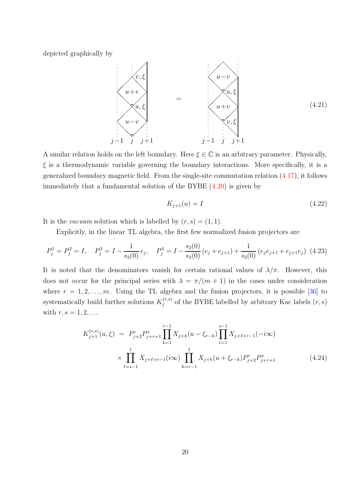depicted graphically by



A similar relation holds on the left boundary. Here  $\xi \in \mathbb{C}$  is an arbitrary parameter. Physically,  $\xi$  is a thermodynamic variable governing the boundary interactions. More specifically, it is a generalized boundary magnetic field. From the single-site commutation relation [\(4.17\)](#page-18-0), it follows immediately that a fundamental solution of the BYBE [\(4.20\)](#page-18-1) is given by

$$
K_{j+1}(u) = I \tag{4.22}
$$

It is the *vacuum* solution which is labelled by  $(r, s) = (1, 1)$ .

Explicitly, in the linear TL algebra, the first few normalized fusion projectors are

<span id="page-19-0"></span>
$$
P_j^1 = P_j^2 = I, \quad P_j^3 = I - \frac{1}{s_2(0)} e_j, \quad P_j^4 = I - \frac{s_2(0)}{s_3(0)} (e_j + e_{j+1}) + \frac{1}{s_3(0)} (e_j e_{j+1} + e_{j+1} e_j) \tag{4.23}
$$

It is noted that the denominators vanish for certain rational values of  $\lambda/\pi$ . However, this does not occur for the principal series with  $\lambda = \pi/(m+1)$  in the cases under consideration where  $r = 1, 2, \ldots, m$ . Using the TL algebra and the fusion projectors, it is possible [\[36\]](#page-38-4) to systematically build further solutions  $K_i^{(r,s)}$  $j_j^{(r,s)}$  of the BYBE labelled by arbitrary Kac labels  $(r, s)$ with  $r, s = 1, 2, \ldots$ 

$$
K_{j+1}^{(r,s)}(u,\xi) = P_{j+2}^r P_{j+r+1}^s \prod_{k=1}^{r-1} X_{j+k}(u-\xi_{r-k}) \prod_{\ell=1}^{s-1} X_{j+\ell+r-1}(-i\infty)
$$
  
 
$$
\times \prod_{\ell=s-1}^1 X_{j+\ell+r-1}(i\infty) \prod_{k=r-1}^1 X_{j+k}(u+\xi_{r-k}) P_{j+2}^r P_{j+r+1}^s
$$
(4.24)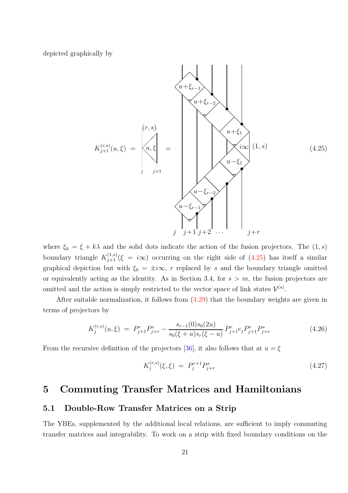depicted graphically by

<span id="page-20-0"></span>

where  $\xi_k = \xi + k\lambda$  and the solid dots indicate the action of the fusion projectors. The  $(1, s)$ boundary triangle  $K_{j+1}^{(1,s)}(\xi = i\infty)$  occurring on the right side of  $(4.25)$  has itself a similar graphical depiction but with  $\xi_k = \pm i\infty$ , r replaced by s and the boundary triangle omitted or equivalently acting as the identity. As in Section 3.4, for  $s > m$ , the fusion projectors are omitted and the action is simply restricted to the vector space of link states  $\mathcal{V}^{(s)}$ .

After suitable normalization, it follows from [\(3.29\)](#page-13-1) that the boundary weights are given in terms of projectors by

$$
K_j^{(r,s)}(u,\xi) = P_{j+1}^r P_{j+r}^s - \frac{s_{r-1}(0)s_0(2u)}{s_0(\xi+u)s_r(\xi-u)} P_{j+1}^r e_j P_{j+1}^r P_{j+r}^s \tag{4.26}
$$

From the recursive definition of the projectors [\[36\]](#page-38-4), it also follows that at  $u = \xi$ 

$$
K_j^{(r,s)}(\xi,\xi) = P_j^{r+1} P_{j+r}^s \tag{4.27}
$$

## 5 Commuting Transfer Matrices and Hamiltonians

### 5.1 Double-Row Transfer Matrices on a Strip

The YBEs, supplemented by the additional local relations, are sufficient to imply commuting transfer matrices and integrability. To work on a strip with fixed boundary conditions on the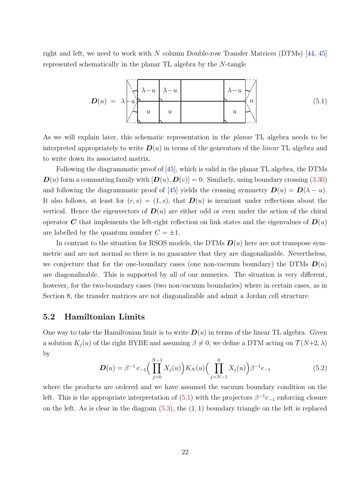right and left, we need to work with N column Double-row Transfer Matrices (DTMs) [\[44,](#page-38-12) [45\]](#page-38-13) represented schematically in the planar TL algebra by the N-tangle

<span id="page-21-0"></span>
$$
D(u) = \lambda \begin{bmatrix} \lambda - u & \lambda - u \\ u & u \end{bmatrix} \begin{bmatrix} \lambda - u & \lambda - u \\ u & u \end{bmatrix} \begin{bmatrix} \lambda - u & \lambda - u \\ u & \lambda \end{bmatrix} \tag{5.1}
$$

As we will explain later, this schematic representation in the planar TL algebra needs to be interpreted appropriately to write  $\mathbf{D}(u)$  in terms of the generators of the *linear* TL algebra and to write down its associated matrix.

Following the diagrammatic proof of [\[45\]](#page-38-13), which is valid in the planar TL algebra, the DTMs  $\mathbf{D}(u)$  form a commuting family with  $[\mathbf{D}(u), \mathbf{D}(v)] = 0$ . Similarly, using boundary crossing [\(3.30\)](#page-14-0) and following the diagrammatic proof of [\[45\]](#page-38-13) yields the crossing symmetry  $\mathbf{D}(u) = \mathbf{D}(\lambda - u)$ . It also follows, at least for  $(r, s) = (1, s)$ , that  $\mathbf{D}(u)$  is invariant under reflections about the vertical. Hence the eigenvectors of  $\mathbf{D}(u)$  are either odd or even under the action of the chiral operator C that implements the left-right reflection on link states and the eigenvalues of  $D(u)$ are labelled by the quantum number  $C = \pm 1$ .

In contrast to the situation for RSOS models, the DTMs  $\mathbf{D}(u)$  here are not transpose symmetric and are not normal so there is no guarantee that they are diagonalizable. Nevertheless, we conjecture that for the one-boundary cases (one non-vacuum boundary) the DTMs  $\bm{D}(u)$ are diagonalizable. This is supported by all of our numerics. The situation is very different, however, for the two-boundary cases (two non-vacuum boundaries) where in certain cases, as in Section 8, the transfer matrices are not diagonalizable and admit a Jordan cell structure.

#### 5.2 Hamiltonian Limits

One way to take the Hamiltonian limit is to write  $D(u)$  in terms of the linear TL algebra. Given a solution  $K_i(u)$  of the right BYBE and assuming  $\beta \neq 0$ , we define a DTM acting on  $\mathcal{T}(N+2, \lambda)$ by

<span id="page-21-1"></span>
$$
\boldsymbol{D}(u) = \beta^{-1} e_{-1} \Big( \prod_{j=0}^{N-1} X_j(u) \Big) K_N(u) \Big( \prod_{j=N-1}^{0} X_j(u) \Big) \beta^{-1} e_{-1} \tag{5.2}
$$

where the products are ordered and we have assumed the vacuum boundary condition on the left. This is the appropriate interpretation of  $(5.1)$  with the projectors  $\beta^{-1}e_{-1}$  enforcing closure on the left. As is clear in the diagram  $(5.3)$ , the  $(1, 1)$  boundary triangle on the left is replaced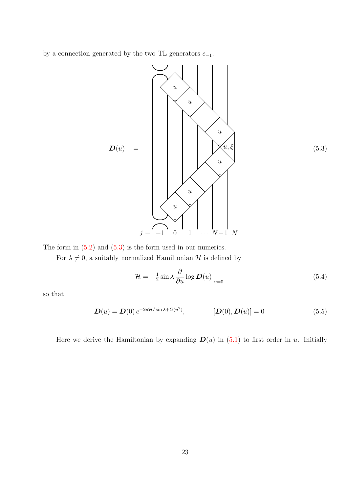by a connection generated by the two TL generators  $e_{-1}$ .

<span id="page-22-0"></span>

(5.3)

The form in  $(5.2)$  and  $(5.3)$  is the form used in our numerics.

For  $\lambda \neq 0$ , a suitably normalized Hamiltonian  $\mathcal H$  is defined by

$$
\mathcal{H} = -\frac{1}{2}\sin\lambda \frac{\partial}{\partial u} \log \mathbf{D}(u) \Big|_{u=0} \tag{5.4}
$$

so that

$$
D(u) = D(0) e^{-2uH/\sin \lambda + O(u^2)}, \qquad [D(0), D(u)] = 0
$$
\n(5.5)

Here we derive the Hamiltonian by expanding  $D(u)$  in [\(5.1\)](#page-21-0) to first order in u. Initially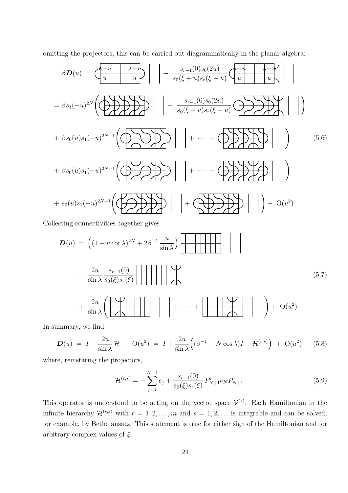omitting the projectors, this can be carried out diagrammatically in the planar algebra:

$$
\beta \mathbf{D}(u) = \left( \frac{-u}{u} \left| \frac{-v}{u} \right| \right) \left| - \frac{s_{r-1}(0)s_0(2u)}{s_0(\xi + u)s_r(\xi - u)} \left( \frac{-u}{u} \left| \frac{-v}{u} \right| \right) \right|
$$
  
\n
$$
= \beta s_1(-u)^{2N} \left( \bigoplus \beta \sum \beta \sum \gamma \right) \left| - \frac{s_{r-1}(0)s_0(2u)}{s_0(\xi + u)s_r(\xi - u)} \bigoplus \beta \sum \gamma \sum \gamma \right| \right)
$$
  
\n
$$
+ \beta s_0(u)s_1(-u)^{2N-1} \left( \bigoplus \beta \sum \gamma \sum \gamma \right) \left| + \cdots + \bigoplus \beta \sum \gamma \sum \gamma \right| \right) \tag{5.6}
$$
  
\n
$$
+ \beta s_0(u)s_1(-u)^{2N-1} \left( \bigoplus \beta \sum \gamma \sum \gamma \right) \left| + \cdots + \bigoplus \beta \sum \gamma \sum \gamma \right| \right) \right)
$$
  
\n
$$
+ s_0(u)s_1(-u)^{2N-1} \left( \bigoplus \beta \sum \gamma \sum \gamma \right) \left| + \bigoplus \bigoplus \beta \sum \gamma \sum \gamma \right| \right) + O(u^2)
$$

Collecting connectivities together gives

$$
D(u) = ((1 - u \cot \lambda)^{2N} + 2\beta^{-1} \frac{u}{\sin \lambda})
$$
  

$$
-\frac{2u}{\sin \lambda} \frac{s_{r-1}(0)}{s_0(\xi)s_r(\xi)}
$$
  

$$
+\frac{2u}{\sin \lambda} \left( \frac{\sqrt{2u}}{\sqrt{2u}} \right) + \cdots + \frac{2u}{\sin \lambda} \left( \frac{\sqrt{2u}}{\sqrt{2u}} \right)
$$
  

$$
(5.7)
$$

In summary, we find

$$
\mathbf{D}(u) = I - \frac{2u}{\sin \lambda} \mathcal{H} + \mathcal{O}(u^2) = I + \frac{2u}{\sin \lambda} \Big( (\beta^{-1} - N \cos \lambda) I - \mathcal{H}^{(r,s)} \Big) + \mathcal{O}(u^2) \tag{5.8}
$$

where, reinstating the projectors,

$$
\mathcal{H}^{(r,s)} = -\sum_{j=1}^{N-1} e_j + \frac{s_{r-1}(0)}{s_0(\xi)s_r(\xi)} P_{N+1}^r e_N P_{N+1}^r \tag{5.9}
$$

This operator is understood to be acting on the vector space  $\mathcal{V}^{(s)}$ . Each Hamiltonian in the infinite hierarchy  $\mathcal{H}^{(r,s)}$  with  $r = 1, 2, ..., m$  and  $s = 1, 2, ...$  is integrable and can be solved, for example, by Bethe ansatz. This statement is true for either sign of the Hamiltonian and for arbitrary complex values of  $\xi$ .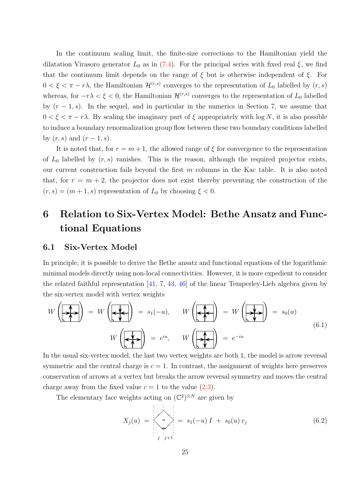In the continuum scaling limit, the finite-size corrections to the Hamiltonian yield the dilatation Virasoro generator  $L_0$  as in [\(7.4\)](#page-28-0). For the principal series with fixed real  $\xi$ , we find that the continuum limit depends on the range of  $\xi$  but is otherwise independent of  $\xi$ . For  $0 < \xi < \pi - r\lambda$ , the Hamiltonian  $\mathcal{H}^{(r,s)}$  converges to the representation of  $L_0$  labelled by  $(r, s)$ whereas, for  $-r\lambda < \xi < 0$ , the Hamiltonian  $\mathcal{H}^{(r,s)}$  converges to the representation of  $L_0$  labelled by  $(r-1, s)$ . In the sequel, and in particular in the numerics in Section 7, we assume that  $0 < \xi < \pi - r\lambda$ . By scaling the imaginary part of  $\xi$  appropriately with log N, it is also possible to induce a boundary renormalization group flow between these two boundary conditions labelled by  $(r, s)$  and  $(r - 1, s)$ .

It is noted that, for  $r = m + 1$ , the allowed range of  $\xi$  for convergence to the representation of  $L_0$  labelled by  $(r, s)$  vanishes. This is the reason, although the required projector exists, our current construction fails beyond the first  $m$  columns in the Kac table. It is also noted that, for  $r = m + 2$ , the projector does not exist thereby preventing the construction of the  $(r, s) = (m + 1, s)$  representation of  $L_0$  by choosing  $\xi < 0$ .

## 6 Relation to Six-Vertex Model: Bethe Ansatz and Functional Equations

#### 6.1 Six-Vertex Model

In principle, it is possible to derive the Bethe ansatz and functional equations of the logarithmic minimal models directly using non-local connectivities. However, it is more expedient to consider the related faithful representation [\[41,](#page-38-10) [7,](#page-36-6) [43,](#page-38-11) [46\]](#page-38-14) of the linear Temperley-Lieb algebra given by the six-vertex model with vertex weights

<span id="page-24-0"></span>
$$
W\left(\overrightarrow{A}\right) = W\left(\overrightarrow{A}\right) = s_1(-u), \qquad W\left(\overrightarrow{A}\right) = W\left(\overrightarrow{A}\right) = s_0(u)
$$
\n
$$
W\left(\overrightarrow{A}\right) = e^{iu}, \qquad W\left(\overrightarrow{A}\right) = e^{-iu}
$$
\n(6.1)

In the usual six-vertex model, the last two vertex weights are both 1, the model is arrow reversal symmetric and the central charge is  $c = 1$ . In contrast, the assignment of weights here preserves conservation of arrows at a vertex but breaks the arrow reversal symmetry and moves the central charge away from the fixed value  $c = 1$  to the value  $(2.3)$ .

The elementary face weights acting on  $(\mathbb{C}^2)^{\otimes N}$  are given by

$$
X_j(u) = \begin{cases} \n\vdots & \vdots & \vdots \\
u & \vdots & \vdots \\
\vdots & \vdots & \vdots \\
j & j+1 & \end{cases} = s_1(-u) I + s_0(u) e_j \tag{6.2}
$$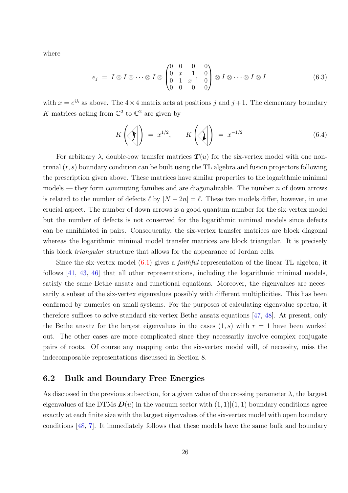where

$$
e_j = I \otimes I \otimes \cdots \otimes I \otimes \begin{pmatrix} 0 & 0 & 0 & 0 \\ 0 & x & 1 & 0 \\ 0 & 1 & x^{-1} & 0 \\ 0 & 0 & 0 & 0 \end{pmatrix} \otimes I \otimes \cdots \otimes I \otimes I \qquad (6.3)
$$

with  $x = e^{i\lambda}$  as above. The  $4 \times 4$  matrix acts at positions j and  $j + 1$ . The elementary boundary K matrices acting from  $\mathbb{C}^2$  to  $\mathbb{C}^2$  are given by

$$
K\left(\left\langle \bigsetminus \right| \right) = x^{1/2}, \qquad K\left(\left\langle \right| \right) = x^{-1/2} \tag{6.4}
$$

For arbitrary  $\lambda$ , double-row transfer matrices  $T(u)$  for the six-vertex model with one nontrivial  $(r, s)$  boundary condition can be built using the TL algebra and fusion projectors following the prescription given above. These matrices have similar properties to the logarithmic minimal  $models$  — they form commuting families and are diagonalizable. The number n of down arrows is related to the number of defects  $\ell$  by  $|N - 2n| = \ell$ . These two models differ, however, in one crucial aspect. The number of down arrows is a good quantum number for the six-vertex model but the number of defects is not conserved for the logarithmic minimal models since defects can be annihilated in pairs. Consequently, the six-vertex transfer matrices are block diagonal whereas the logarithmic minimal model transfer matrices are block triangular. It is precisely this block triangular structure that allows for the appearance of Jordan cells.

Since the six-vertex model  $(6.1)$  gives a *faithful* representation of the linear TL algebra, it follows [\[41,](#page-38-10) [43,](#page-38-11) [46\]](#page-38-14) that all other representations, including the logarithmic minimal models, satisfy the same Bethe ansatz and functional equations. Moreover, the eigenvalues are necessarily a subset of the six-vertex eigenvalues possibly with different multiplicities. This has been confirmed by numerics on small systems. For the purposes of calculating eigenvalue spectra, it therefore suffices to solve standard six-vertex Bethe ansatz equations [\[47,](#page-38-15) [48\]](#page-38-16). At present, only the Bethe ansatz for the largest eigenvalues in the cases  $(1, s)$  with  $r = 1$  have been worked out. The other cases are more complicated since they necessarily involve complex conjugate pairs of roots. Of course any mapping onto the six-vertex model will, of necessity, miss the indecomposable representations discussed in Section 8.

#### 6.2 Bulk and Boundary Free Energies

As discussed in the previous subsection, for a given value of the crossing parameter  $\lambda$ , the largest eigenvalues of the DTMs  $\mathbf{D}(u)$  in the vacuum sector with  $(1, 1)|(1, 1)$  boundary conditions agree exactly at each finite size with the largest eigenvalues of the six-vertex model with open boundary conditions [\[48,](#page-38-16) [7\]](#page-36-6). It immediately follows that these models have the same bulk and boundary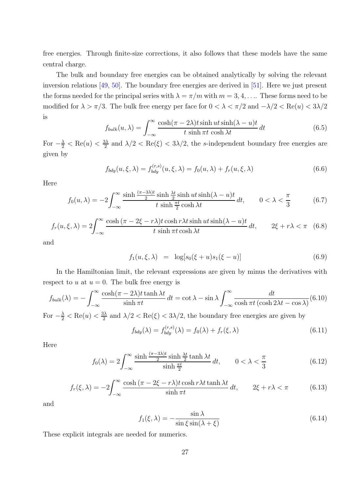free energies. Through finite-size corrections, it also follows that these models have the same central charge.

The bulk and boundary free energies can be obtained analytically by solving the relevant inversion relations [\[49,](#page-38-17) [50\]](#page-39-0). The boundary free energies are derived in [\[51\]](#page-39-1). Here we just present the forms needed for the principal series with  $\lambda = \pi/m$  with  $m = 3, 4, \ldots$  These forms need to be modified for  $\lambda > \pi/3$ . The bulk free energy per face for  $0 < \lambda < \pi/2$  and  $-\lambda/2 < \text{Re}(u) < 3\lambda/2$ is

$$
f_{bulk}(u,\lambda) = \int_{-\infty}^{\infty} \frac{\cosh(\pi - 2\lambda)t \sinh ut \sinh(\lambda - u)t}{t \sinh \pi t \cosh \lambda t} dt
$$
 (6.5)

For  $-\frac{\lambda}{2} < \text{Re}(u) < \frac{3\lambda}{2}$  $\frac{3\lambda}{2}$  and  $\lambda/2 < \text{Re}(\xi) < 3\lambda/2$ , the s-independent boundary free energies are given by

$$
f_{bdy}(u,\xi,\lambda) = f_{bdy}^{(r,s)}(u,\xi,\lambda) = f_0(u,\lambda) + f_r(u,\xi,\lambda)
$$
\n(6.6)

Here

$$
f_0(u,\lambda) = -2\int_{-\infty}^{\infty} \frac{\sinh\frac{(\pi - 3\lambda)t}{2}\sinh\frac{\lambda t}{2}\sinh ut\sinh(\lambda - u)t}{t\sinh\frac{\pi t}{2}\cosh\lambda t} dt, \qquad 0 < \lambda < \frac{\pi}{3}
$$
 (6.7)

$$
f_r(u,\xi,\lambda) = 2\int_{-\infty}^{\infty} \frac{\cosh(\pi - 2\xi - r\lambda)t \cosh r\lambda t \sinh ut \sinh(\lambda - u)t}{t \sinh \pi t \cosh \lambda t} dt, \qquad 2\xi + r\lambda < \pi \quad (6.8)
$$

and

$$
f_1(u, \xi, \lambda) = \log[s_0(\xi + u)s_1(\xi - u)] \tag{6.9}
$$

In the Hamiltonian limit, the relevant expressions are given by minus the derivatives with respect to u at  $u = 0$ . The bulk free energy is

$$
f_{bulk}(\lambda) = -\int_{-\infty}^{\infty} \frac{\cosh(\pi - 2\lambda)t \tanh \lambda t}{\sinh \pi t} dt = \cot \lambda - \sin \lambda \int_{-\infty}^{\infty} \frac{dt}{\cosh \pi t (\cosh 2\lambda t - \cos \lambda)} (6.10)
$$

For  $-\frac{\lambda}{2} < \text{Re}(u) < \frac{3\lambda}{2}$  $\frac{3\lambda}{2}$  and  $\lambda/2 < \text{Re}(\xi) < 3\lambda/2$ , the boundary free energies are given by

$$
f_{bdy}(\lambda) = f_{bdy}^{(r,s)}(\lambda) = f_0(\lambda) + f_r(\xi, \lambda)
$$
\n(6.11)

Here

$$
f_0(\lambda) = 2 \int_{-\infty}^{\infty} \frac{\sinh \frac{(\pi - 3\lambda)t}{2} \sinh \frac{\lambda t}{2} \tanh \lambda t}{\sinh \frac{\pi t}{2}} dt, \qquad 0 < \lambda < \frac{\pi}{3}
$$
 (6.12)

$$
f_r(\xi,\lambda) = -2\int_{-\infty}^{\infty} \frac{\cosh(\pi - 2\xi - r\lambda)t \cosh r\lambda t \tanh \lambda t}{\sinh \pi t} dt, \qquad 2\xi + r\lambda < \pi \tag{6.13}
$$

and

$$
f_1(\xi, \lambda) = -\frac{\sin \lambda}{\sin \xi \sin(\lambda + \xi)}
$$
(6.14)

These explicit integrals are needed for numerics.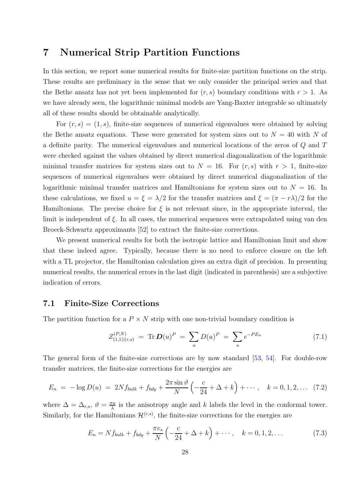## 7 Numerical Strip Partition Functions

In this section, we report some numerical results for finite-size partition functions on the strip. These results are preliminary in the sense that we only consider the principal series and that the Bethe ansatz has not yet been implemented for  $(r, s)$  boundary conditions with  $r > 1$ . As we have already seen, the logarithmic minimal models are Yang-Baxter integrable so ultimately all of these results should be obtainable analytically.

For  $(r, s) = (1, s)$ , finite-size sequences of numerical eigenvalues were obtained by solving the Bethe ansatz equations. These were generated for system sizes out to  $N = 40$  with N of a definite parity. The numerical eigenvalues and numerical locations of the zeros of Q and T were checked against the values obtained by direct numerical diagonalization of the logarithmic minimal transfer matrices for system sizes out to  $N = 16$ . For  $(r, s)$  with  $r > 1$ , finite-size sequences of numerical eigenvalues were obtained by direct numerical diagonalization of the logarithmic minimal transfer matrices and Hamiltonians for system sizes out to  $N = 16$ . In these calculations, we fixed  $u = \xi = \lambda/2$  for the transfer matrices and  $\xi = (\pi - r\lambda)/2$  for the Hamiltonians. The precise choice for  $\xi$  is not relevant since, in the appropriate interval, the limit is independent of  $\xi$ . In all cases, the numerical sequences were extrapolated using van den Broeck-Schwartz approximants [\[52\]](#page-39-2) to extract the finite-size corrections.

We present numerical results for both the isotropic lattice and Hamiltonian limit and show that these indeed agree. Typically, because there is no need to enforce closure on the left with a TL projector, the Hamiltonian calculation gives an extra digit of precision. In presenting numerical results, the numerical errors in the last digit (indicated in parenthesis) are a subjective indication of errors.

#### 7.1 Finite-Size Corrections

The partition function for a  $P \times N$  strip with one non-trivial boundary condition is

$$
Z_{(1,1)|(r,s)}^{(P,N)} = \text{Tr}\, \boldsymbol{D}(u)^P = \sum_n D(u)^P = \sum_n e^{-PE_n} \tag{7.1}
$$

The general form of the finite-size corrections are by now standard [\[53,](#page-39-3) [54\]](#page-39-4). For double-row transfer matrices, the finite-size corrections for the energies are

$$
E_n = -\log D(u) = 2Nf_{bulk} + f_{bdy} + \frac{2\pi \sin \vartheta}{N} \left( -\frac{c}{24} + \Delta + k \right) + \cdots, \quad k = 0, 1, 2, \ldots \tag{7.2}
$$

where  $\Delta = \Delta_{r,s}, \vartheta = \frac{\pi u}{\lambda}$  $\frac{\pi u}{\lambda}$  is the anisotropy angle and k labels the level in the conformal tower. Similarly, for the Hamiltonians  $\mathcal{H}^{(r,s)}$ , the finite-size corrections for the energies are

$$
E_n = Nf_{bulk} + f_{bdy} + \frac{\pi v_s}{N} \left( -\frac{c}{24} + \Delta + k \right) + \cdots, \quad k = 0, 1, 2, \dots \tag{7.3}
$$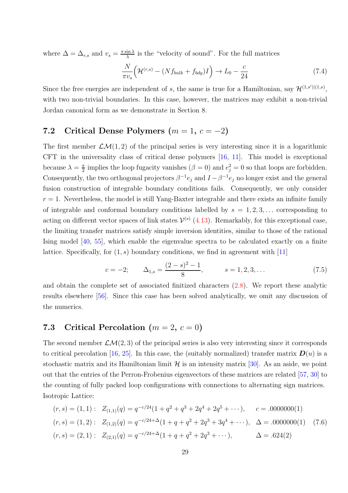where  $\Delta = \Delta_{r,s}$  and  $v_s = \frac{\pi \sin \lambda}{\lambda}$  $\frac{\sin \lambda}{\lambda}$  is the "velocity of sound". For the full matrices

<span id="page-28-0"></span>
$$
\frac{N}{\pi v_s} \Big( \mathcal{H}^{(r,s)} - (N f_{bulk} + f_{bdy}) I \Big) \to L_0 - \frac{c}{24} \tag{7.4}
$$

Since the free energies are independent of s, the same is true for a Hamiltonian, say  $\mathcal{H}^{(1,s')|(1,s)}$ , with two non-trivial boundaries. In this case, however, the matrices may exhibit a non-trivial Jordan canonical form as we demonstrate in Section 8.

## 7.2 Critical Dense Polymers  $(m = 1, c = -2)$

The first member  $\mathcal{L}\mathcal{M}(1,2)$  of the principal series is very interesting since it is a logarithmic CFT in the universality class of critical dense polymers [\[16,](#page-36-15) [11\]](#page-36-10). This model is exceptional because  $\lambda = \frac{\pi}{2}$  $\frac{\pi}{2}$  implies the loop fugacity vanishes  $(\beta = 0)$  and  $e_j^2 = 0$  so that loops are forbidden. Consequently, the two orthogonal projectors  $\beta^{-1}e_j$  and  $I - \beta^{-1}e_j$  no longer exist and the general fusion construction of integrable boundary conditions fails. Consequently, we only consider  $r = 1$ . Nevertheless, the model is still Yang-Baxter integrable and there exists an infinite family of integrable and conformal boundary conditions labelled by  $s = 1, 2, 3, \ldots$  corresponding to acting on different vector spaces of link states  $\mathcal{V}^{(s)}$  [\(4.13\)](#page-17-1). Remarkably, for this exceptional case, the limiting transfer matrices satisfy simple inversion identities, similar to those of the rational Ising model [\[40,](#page-38-8) [55\]](#page-39-5), which enable the eigenvalue spectra to be calculated exactly on a finite lattice. Specifically, for  $(1, s)$  boundary conditions, we find in agreement with [\[11\]](#page-36-10)

$$
c = -2;
$$
  $\Delta_{1,s} = \frac{(2-s)^2 - 1}{8},$   $s = 1, 2, 3, ...$  (7.5)

and obtain the complete set of associated finitized characters [\(2.8\)](#page-6-0). We report these analytic results elsewhere [\[56\]](#page-39-6). Since this case has been solved analytically, we omit any discussion of the numerics.

## 7.3 Critical Percolation  $(m = 2, c = 0)$

The second member  $\mathcal{LM}(2,3)$  of the principal series is also very interesting since it corresponds to critical percolation [\[16,](#page-36-15) [25\]](#page-37-7). In this case, the (suitably normalized) transfer matrix  $\mathbf{D}(u)$  is a stochastic matrix and its Hamiltonian limit  $\mathcal{H}$  is an intensity matrix [\[30\]](#page-37-12). As an aside, we point out that the entries of the Perron-Frobenius eigenvectors of these matrices are related [\[57,](#page-39-7) [30\]](#page-37-12) to the counting of fully packed loop configurations with connections to alternating sign matrices. Isotropic Lattice:

$$
(r,s) = (1,1): \quad Z_{(1,1)}(q) = q^{-c/24}(1+q^2+q^3+2q^4+2q^5+\cdots), \qquad c = .0000000(1)
$$
\n
$$
(r,s) = (1,2): \quad Z_{(1,2)}(q) = q^{-c/24+\Delta}(1+q+q^2+2q^3+3q^4+\cdots), \quad \Delta = .0000000(1) \tag{7.6}
$$
\n
$$
(r,s) = (2,1): \quad Z_{(2,1)}(q) = q^{-c/24+\Delta}(1+q+q^2+2q^3+\cdots), \qquad \Delta = .624(2)
$$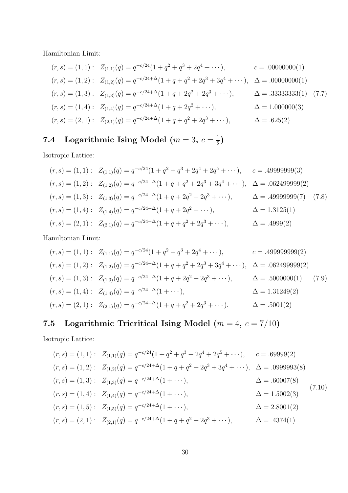Hamiltonian Limit:

$$
(r, s) = (1, 1): Z_{(1,1)}(q) = q^{-c/24}(1 + q^2 + q^3 + 2q^4 + \cdots), \t c = .00000000(1)
$$
  
\n
$$
(r, s) = (1, 2): Z_{(1,2)}(q) = q^{-c/24 + \Delta}(1 + q + q^2 + 2q^3 + 3q^4 + \cdots), \Delta = .00000000(1)
$$
  
\n
$$
(r, s) = (1, 3): Z_{(1,3)}(q) = q^{-c/24 + \Delta}(1 + q + 2q^2 + 2q^3 + \cdots), \Delta = .3333333(1)
$$
 (7.7)  
\n
$$
(r, s) = (1, 4): Z_{(1,4)}(q) = q^{-c/24 + \Delta}(1 + q + 2q^2 + \cdots), \Delta = 1.000000(3)
$$
  
\n
$$
(r, s) = (2, 1): Z_{(2,1)}(q) = q^{-c/24 + \Delta}(1 + q + q^2 + 2q^3 + \cdots), \Delta = .625(2)
$$

#### 7.4 Logarithmic Ising Model ( $m=3, c=\frac{1}{2}$  $\frac{1}{2}$

Isotropic Lattice:

$$
(r,s) = (1,1): Z_{(1,1)}(q) = q^{-c/24}(1+q^2+q^3+2q^4+2q^5+\cdots), \quad c = .49999999(3)
$$
  
\n
$$
(r,s) = (1,2): Z_{(1,2)}(q) = q^{-c/24+\Delta}(1+q+q^2+2q^3+3q^4+\cdots), \quad \Delta = .062499999(2)
$$
  
\n
$$
(r,s) = (1,3): Z_{(1,3)}(q) = q^{-c/24+\Delta}(1+q+2q^2+2q^3+\cdots), \qquad \Delta = .49999999(7)
$$
  
\n
$$
(r,s) = (1,4): Z_{(1,4)}(q) = q^{-c/24+\Delta}(1+q+2q^2+\cdots), \qquad \Delta = 1.3125(1)
$$
  
\n
$$
(r,s) = (2,1): Z_{(2,1)}(q) = q^{-c/24+\Delta}(1+q+q^2+2q^3+\cdots), \qquad \Delta = .4999(2)
$$

Hamiltonian Limit:

$$
(r,s) = (1,1): Z_{(1,1)}(q) = q^{-c/24}(1+q^2+q^3+2q^4+\cdots), \t c = .499999999(2)
$$
  
\n
$$
(r,s) = (1,2): Z_{(1,2)}(q) = q^{-c/24+\Delta}(1+q+q^2+2q^3+3q^4+\cdots), \Delta = .062499999(2)
$$
  
\n
$$
(r,s) = (1,3): Z_{(1,3)}(q) = q^{-c/24+\Delta}(1+q+2q^2+2q^3+\cdots), \Delta = .5000000(1)
$$
  
\n
$$
(r,s) = (1,4): Z_{(1,4)}(q) = q^{-c/24+\Delta}(1+\cdots), \Delta = 1.31249(2)
$$
  
\n
$$
(r,s) = (2,1): Z_{(2,1)}(q) = q^{-c/24+\Delta}(1+q+q^2+2q^3+\cdots), \Delta = .5001(2)
$$

# 7.5 Logarithmic Tricritical Ising Model ( $m = 4$ ,  $c = 7/10$ )

Isotropic Lattice:

$$
(r, s) = (1, 1): Z_{(1,1)}(q) = q^{-c/24}(1 + q^2 + q^3 + 2q^4 + 2q^5 + \cdots), \t c = .69999(2)
$$
  
\n
$$
(r, s) = (1, 2): Z_{(1,2)}(q) = q^{-c/24 + \Delta}(1 + q + q^2 + 2q^3 + 3q^4 + \cdots), \Delta = .0999993(8)
$$
  
\n
$$
(r, s) = (1, 3): Z_{(1,3)}(q) = q^{-c/24 + \Delta}(1 + \cdots), \Delta = .60007(8)
$$
  
\n
$$
(r, s) = (1, 4): Z_{(1,4)}(q) = q^{-c/24 + \Delta}(1 + \cdots), \Delta = 1.5002(3)
$$
  
\n
$$
(r, s) = (1, 5): Z_{(1,5)}(q) = q^{-c/24 + \Delta}(1 + \cdots), \Delta = 2.8001(2)
$$
  
\n
$$
(r, s) = (2, 1): Z_{(2,1)}(q) = q^{-c/24 + \Delta}(1 + q + q^2 + 2q^3 + \cdots), \Delta = .4374(1)
$$
  
\n(7.10)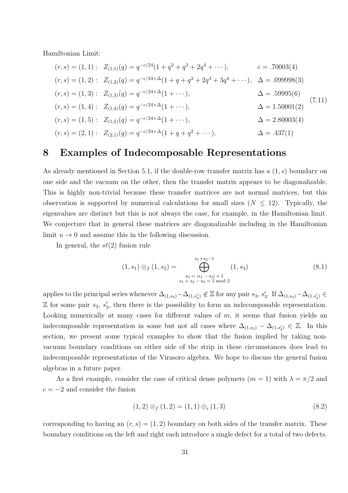Hamiltonian Limit:

$$
(r, s) = (1, 1): Z_{(1,1)}(q) = q^{-c/24}(1 + q^2 + q^3 + 2q^4 + \cdots), \t c = .70003(4)
$$
  
\n
$$
(r, s) = (1, 2): Z_{(1,2)}(q) = q^{-c/24 + \Delta}(1 + q + q^2 + 2q^3 + 3q^4 + \cdots), \Delta = .099998(3)
$$
  
\n
$$
(r, s) = (1, 3): Z_{(1,3)}(q) = q^{-c/24 + \Delta}(1 + \cdots), \Delta = .59995(6)
$$
  
\n
$$
(r, s) = (1, 4): Z_{(1,4)}(q) = q^{-c/24 + \Delta}(1 + \cdots), \Delta = 1.50001(2)
$$
  
\n
$$
(r, s) = (1, 5): Z_{(1,5)}(q) = q^{-c/24 + \Delta}(1 + \cdots), \Delta = 2.80003(4)
$$
  
\n
$$
(r, s) = (2, 1): Z_{(2,1)}(q) = q^{-c/24 + \Delta}(1 + q + q^2 + \cdots), \Delta = .437(1)
$$
  
\n(7.11)

## 8 Examples of Indecomposable Representations

As already mentioned in Section 5.1, if the double-row transfer matrix has a  $(1, s)$  boundary on one side and the vacuum on the other, then the transfer matrix appears to be diagonalizable. This is highly non-trivial because these transfer matrices are not normal matrices, but this observation is supported by numerical calculations for small sizes  $(N \leq 12)$ . Typically, the eigenvalues are distinct but this is not always the case, for example, in the Hamiltonian limit. We conjecture that in general these matrices are diagonalizable including in the Hamiltonian limit  $u \to 0$  and assume this in the following discussion.

In general, the  $s\ell(2)$  fusion rule

$$
(1, s_1) \otimes_f (1, s_2) = \bigoplus_{\substack{s_3 = |s_1 - s_2| + 1 \\ s_1 + s_2 - s_3 = 1 \text{ mod } 2}}^{s_1 + s_2 - 1} (1, s_3)
$$
(8.1)

applies to the principal series whenever  $\Delta_{(1,s_3)} - \Delta_{(1,s'_3)} \notin \mathbb{Z}$  for any pair  $s_3, s'_3$ . If  $\Delta_{(1,s_3)} - \Delta_{(1,s'_3)} \in$  $\mathbb Z$  for some pair  $s_3, s'_3$ , then there is the possibility to form an indecomposable representation. Looking numerically at many cases for different values of  $m$ , it seems that fusion yields an indecomposable representation in some but not all cases where  $\Delta_{(1,s_3)} - \Delta_{(1,s'_3)} \in \mathbb{Z}$ . In this section, we present some typical examples to show that the fusion implied by taking nonvacuum boundary conditions on either side of the strip in these circumstances does lead to indecomposable representations of the Virasoro algebra. We hope to discuss the general fusion algebras in a future paper.

As a first example, consider the case of critical dense polymers  $(m = 1)$  with  $\lambda = \pi/2$  and  $c = -2$  and consider the fusion

<span id="page-30-0"></span>
$$
(1,2) \otimes_f (1,2) = (1,1) \oplus_i (1,3) \tag{8.2}
$$

corresponding to having an  $(r, s) = (1, 2)$  boundary on both sides of the transfer matrix. These boundary conditions on the left and right each introduce a single defect for a total of two defects.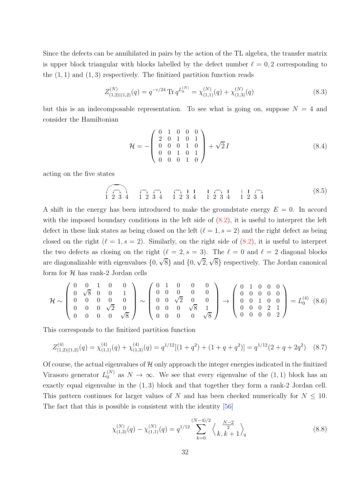Since the defects can be annihilated in pairs by the action of the TL algebra, the transfer matrix is upper block triangular with blocks labelled by the defect number  $\ell = 0, 2$  corresponding to the  $(1, 1)$  and  $(1, 3)$  respectively. The finitized partition function reads

$$
Z_{(1,2)|(1,2)}^{(N)}(q) = q^{-c/24} \operatorname{Tr} q^{L_0^{(N)}} = \chi_{(1,1)}^{(N)}(q) + \chi_{(1,3)}^{(N)}(q)
$$
(8.3)

but this is an indecomposable representation. To see what is going on, suppose  $N = 4$  and consider the Hamiltonian

$$
\mathcal{H} = -\begin{pmatrix} 0 & 1 & 0 & 0 & 0 \\ 2 & 0 & 1 & 0 & 1 \\ 0 & 0 & 0 & 1 & 0 \\ 0 & 0 & 1 & 0 & 1 \\ 0 & 0 & 0 & 1 & 0 \end{pmatrix} + \sqrt{2}I \tag{8.4}
$$

acting on the five states

$$
\widehat{1\ 2\ 3\ 4} \quad \widehat{1\ 2\ 3\ 4} \quad \widehat{1\ 2\ 3\ 4} \quad \widehat{1\ 2\ 3\ 4} \quad \widehat{1\ 2\ 3\ 4} \quad \widehat{1\ 2\ 3\ 4} \tag{8.5}
$$

A shift in the energy has been introduced to make the groundstate energy  $E = 0$ . In accord with the imposed boundary conditions in the left side of  $(8.2)$ , it is useful to interpret the left defect in these link states as being closed on the left  $(\ell = 1, s = 2)$  and the right defect as being closed on the right  $(\ell = 1, s = 2)$ . Similarly, on the right side of  $(8.2)$ , it is useful to interpret the two defects as closing on the right ( $\ell = 2$ ,  $s = 3$ ). The  $\ell = 0$  and  $\ell = 2$  diagonal blocks are diagonalizable with eigenvalues  $\{0, \sqrt{8}\}$  and  $\{0, \sqrt{2}, \sqrt{8}\}$  respectively. The Jordan canonical form for  $H$  has rank-2 Jordan cells

$$
\mathcal{H} \sim \left(\begin{array}{cccc} 0 & 0 & 1 & 0 & 0 \\ 0 & \sqrt{8} & 0 & 0 & 1 \\ 0 & 0 & 0 & 0 & 0 \\ 0 & 0 & 0 & \sqrt{2} & 0 \\ 0 & 0 & 0 & 0 & \sqrt{8} \end{array}\right) \sim \left(\begin{array}{cccc} 0 & 1 & 0 & 0 & 0 \\ 0 & 0 & 0 & 0 & 0 \\ 0 & 0 & \sqrt{2} & 0 & 0 \\ 0 & 0 & 0 & \sqrt{8} & 1 \\ 0 & 0 & 0 & 0 & \sqrt{8} \end{array}\right) \rightarrow \left(\begin{array}{cccc} 0 & 1 & 0 & 0 & 0 \\ 0 & 0 & 0 & 0 & 0 \\ 0 & 0 & 1 & 0 & 0 \\ 0 & 0 & 0 & 2 & 1 \\ 0 & 0 & 0 & 0 & 2 \end{array}\right) = L_0^{(4)} \quad (8.6)
$$

This corresponds to the finitized partition function

$$
Z_{(1,2)|(1,2)}^{(4)}(q) = \chi_{(1,1)}^{(4)}(q) + \chi_{(1,3)}^{(4)}(q) = q^{1/12}[(1+q^2) + (1+q+q^2)] = q^{1/12}(2+q+2q^2) \quad (8.7)
$$

Of course, the actual eigenvalues of  $H$  only approach the integer energies indicated in the finitized Virasoro generator  $L_0^{(N)}$  as  $N \to \infty$ . We see that every eigenvalue of the  $(1, 1)$  block has an exactly equal eigenvalue in the  $(1, 3)$  block and that together they form a rank-2 Jordan cell. This pattern continues for larger values of N and has been checked numerically for  $N \leq 10$ . The fact that this is possible is consistent with the identity [\[56\]](#page-39-6)

$$
\chi_{(1,3)}^{(N)}(q) - \chi_{(1,1)}^{(N)}(q) = q^{1/12} \sum_{k=0}^{(N-4)/2} \left\langle \frac{\frac{N-2}{2}}{k, k+1} \right\rangle_q \tag{8.8}
$$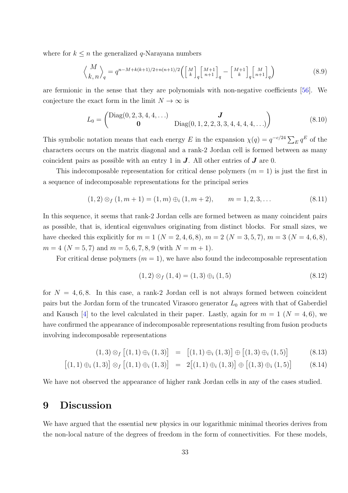where for  $k \leq n$  the generalized q-Narayana numbers

$$
\left\langle {M \atop k,n} \right\rangle_q = q^{n-M+k(k+1)/2+n(n+1)/2} \left( \left[ {M \atop k} \right]_q \left[ {M+1 \atop n+1} \right]_q - \left[ {M+1 \atop k} \right]_q \left[ {M \atop n+1} \right]_q \right) \tag{8.9}
$$

are fermionic in the sense that they are polynomials with non-negative coefficients [\[56\]](#page-39-6). We conjecture the exact form in the limit  $N \to \infty$  is

$$
L_0 = \begin{pmatrix} \text{Diag}(0, 2, 3, 4, 4, \ldots) & \mathbf{J} \\ \mathbf{0} & \text{Diag}(0, 1, 2, 2, 3, 3, 4, 4, 4, 4, \ldots) \end{pmatrix}
$$
(8.10)

This symbolic notation means that each energy E in the expansion  $\chi(q) = q^{-c/24} \sum_E q^E$  of the characters occurs on the matrix diagonal and a rank-2 Jordan cell is formed between as many coincident pairs as possible with an entry 1 in  $J$ . All other entries of  $J$  are 0.

This indecomposable representation for critical dense polymers  $(m = 1)$  is just the first in a sequence of indecomposable representations for the principal series

$$
(1,2) \otimes_f (1,m+1) = (1,m) \oplus_i (1,m+2), \qquad m = 1,2,3,\dots
$$
\n(8.11)

In this sequence, it seems that rank-2 Jordan cells are formed between as many coincident pairs as possible, that is, identical eigenvalues originating from distinct blocks. For small sizes, we have checked this explicitly for  $m = 1$   $(N = 2, 4, 6, 8)$ ,  $m = 2$   $(N = 3, 5, 7)$ ,  $m = 3$   $(N = 4, 6, 8)$ ,  $m = 4 \ (N = 5, 7)$  and  $m = 5, 6, 7, 8, 9$  (with  $N = m + 1$ ).

For critical dense polymers  $(m = 1)$ , we have also found the indecomposable representation

$$
(1,2) \otimes_f (1,4) = (1,3) \oplus_i (1,5) \tag{8.12}
$$

for  $N = 4, 6, 8$ . In this case, a rank-2 Jordan cell is not always formed between coincident pairs but the Jordan form of the truncated Virasoro generator  $L_0$  agrees with that of Gaberdiel and Kausch [\[4\]](#page-36-3) to the level calculated in their paper. Lastly, again for  $m = 1$  ( $N = 4, 6$ ), we have confirmed the appearance of indecomposable representations resulting from fusion products involving indecomposable representations

$$
(1,3) \otimes_f [(1,1) \oplus_i (1,3)] = [(1,1) \oplus_i (1,3)] \oplus [(1,3) \oplus_i (1,5)] \tag{8.13}
$$

$$
[(1,1) \oplus_i (1,3)] \otimes_f [(1,1) \oplus_i (1,3)] = 2[(1,1) \oplus_i (1,3)] \oplus [(1,3) \oplus_i (1,5)] \tag{8.14}
$$

We have not observed the appearance of higher rank Jordan cells in any of the cases studied.

## 9 Discussion

We have argued that the essential new physics in our logarithmic minimal theories derives from the non-local nature of the degrees of freedom in the form of connectivities. For these models,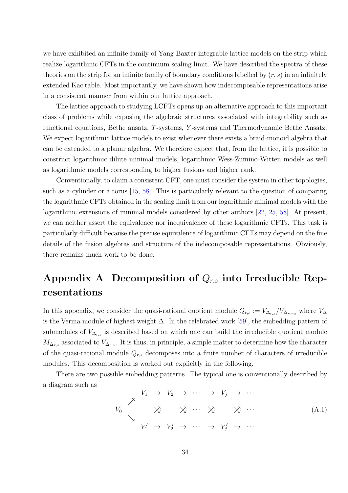we have exhibited an infinite family of Yang-Baxter integrable lattice models on the strip which realize logarithmic CFTs in the continuum scaling limit. We have described the spectra of these theories on the strip for an infinite family of boundary conditions labelled by  $(r, s)$  in an infinitely extended Kac table. Most importantly, we have shown how indecomposable representations arise in a consistent manner from within our lattice approach.

The lattice approach to studying LCFTs opens up an alternative approach to this important class of problems while exposing the algebraic structures associated with integrability such as functional equations, Bethe ansatz, T-systems, Y -systems and Thermodynamic Bethe Ansatz. We expect logarithmic lattice models to exist whenever there exists a braid-monoid algebra that can be extended to a planar algebra. We therefore expect that, from the lattice, it is possible to construct logarithmic dilute minimal models, logarithmic Wess-Zumino-Witten models as well as logarithmic models corresponding to higher fusions and higher rank.

Conventionally, to claim a consistent CFT, one must consider the system in other topologies, such as a cylinder or a torus [\[15,](#page-36-14) [58\]](#page-39-8). This is particularly relevant to the question of comparing the logarithmic CFTs obtained in the scaling limit from our logarithmic minimal models with the logarithmic extensions of minimal models considered by other authors [\[22,](#page-37-14) [25,](#page-37-7) [58\]](#page-39-8). At present, we can neither assert the equivalence nor inequivalence of these logarithmic CFTs. This task is particularly difficult because the precise equivalence of logarithmic CFTs may depend on the fine details of the fusion algebras and structure of the indecomposable representations. Obviously, there remains much work to be done.

## Appendix A Decomposition of  $Q_{rs}$  into Irreducible Representations

In this appendix, we consider the quasi-rational quotient module  $Q_{r,s} := V_{\Delta_{r,s}}/V_{\Delta_{r,-s}}$  where  $V_{\Delta_{r,s}}/V_{\Delta_{r,s}}$ is the Verma module of highest weight  $\Delta$ . In the celebrated work [\[59\]](#page-39-9), the embedding pattern of submodules of  $V_{\Delta_{r,s}}$  is described based on which one can build the irreducible quotient module  $M_{\Delta_{r,s}}$  associated to  $V_{\Delta_{r,s}}$ . It is thus, in principle, a simple matter to determine how the character of the quasi-rational module  $Q_{r,s}$  decomposes into a finite number of characters of irreducible modules. This decomposition is worked out explicitly in the following.

There are two possible embedding patterns. The typical one is conventionally described by a diagram such as

<span id="page-33-0"></span>
$$
V_1 \rightarrow V_2 \rightarrow \cdots \rightarrow V_j \rightarrow \cdots
$$
  
\n
$$
V_0 \times \times \times \times \cdots \times \times \times \cdots
$$
  
\n
$$
V_1' \rightarrow V_2' \rightarrow \cdots \rightarrow V_j' \rightarrow \cdots
$$
  
\n(A.1)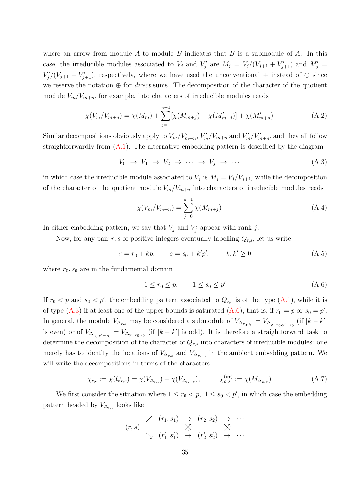where an arrow from module  $A$  to module  $B$  indicates that  $B$  is a submodule of  $A$ . In this case, the irreducible modules associated to  $V_j$  and  $V'_j$  are  $M_j = V_j/(V_{j+1} + V'_{j+1})$  and  $M'_j =$  $V'_j/(V_{j+1}+V'_{j+1}),$  respectively, where we have used the unconventional + instead of  $\oplus$  since we reserve the notation  $\oplus$  for *direct* sums. The decomposition of the character of the quotient module  $V_m/V_{m+n}$ , for example, into characters of irreducible modules reads

$$
\chi(V_m/V_{m+n}) = \chi(M_m) + \sum_{j=1}^{n-1} [\chi(M_{m+j}) + \chi(M'_{m+j})] + \chi(M'_{m+n})
$$
\n(A.2)

Similar decompositions obviously apply to  $V_m/V'_{m+n}$ ,  $V'_m/V_{m+n}$  and  $V'_m/V'_{m+n}$ , and they all follow straightforwardly from  $(A.1)$ . The alternative embedding pattern is described by the diagram

<span id="page-34-0"></span>
$$
V_0 \to V_1 \to V_2 \to \cdots \to V_j \to \cdots \tag{A.3}
$$

in which case the irreducible module associated to  $V_j$  is  $M_j = V_j/V_{j+1}$ , while the decomposition of the character of the quotient module  $V_m/V_{m+n}$  into characters of irreducible modules reads

$$
\chi(V_m/V_{m+n}) = \sum_{j=0}^{n-1} \chi(M_{m+j})
$$
\n(A.4)

In either embedding pattern, we say that  $V_j$  and  $V'_j$  appear with rank j.

Now, for any pair r, s of positive integers eventually labelling  $Q_{r,s}$ , let us write

$$
r = r_0 + kp, \t s = s_0 + k'p', \t k, k' \ge 0
$$
\t(A.5)

where  $r_0$ ,  $s_0$  are in the fundamental domain

<span id="page-34-1"></span>
$$
1 \le r_0 \le p, \qquad 1 \le s_0 \le p' \tag{A.6}
$$

If  $r_0 < p$  and  $s_0 < p'$ , the embedding pattern associated to  $Q_{r,s}$  is of the type  $(A.1)$ , while it is of type [\(A.3\)](#page-34-0) if at least one of the upper bounds is saturated [\(A.6\)](#page-34-1), that is, if  $r_0 = p$  or  $s_0 = p'$ . In general, the module  $V_{\Delta_{r,s}}$  may be considered a submodule of  $V_{\Delta_{r_0,s_0}} = V_{\Delta_{p-r_0,p'-s_0}}$  (if  $|k-k'|$ ) is even) or of  $V_{\Delta_{r_0,p'-s_0}} = V_{\Delta_{p-r_0,s_0}}$  (if  $|k-k'|$  is odd). It is therefore a straightforward task to determine the decomposition of the character of  $Q_{r,s}$  into characters of irreducible modules: one merely has to identify the locations of  $V_{\Delta_{r,s}}$  and  $V_{\Delta_{r,-s}}$  in the ambient embedding pattern. We will write the decompositions in terms of the characters

$$
\chi_{r,s} := \chi(Q_{r,s}) = \chi(V_{\Delta_{r,s}}) - \chi(V_{\Delta_{r,-s}}), \qquad \chi_{\rho,\sigma}^{\text{(irr)}} := \chi(M_{\Delta_{\rho,\sigma}}) \tag{A.7}
$$

We first consider the situation where  $1 \le r_0 < p$ ,  $1 \le s_0 < p'$ , in which case the embedding pattern headed by  $V_{\Delta_{r,s}}$  looks like

$$
(r,s) \quad \begin{array}{cccc} \nearrow & (r_1,s_1) & \rightarrow & (r_2,s_2) & \rightarrow & \cdots \\ & \searrow & \searrow & \searrow & \searrow \\ & \searrow & (r'_1,s'_1) & \rightarrow & (r'_2,s'_2) & \rightarrow & \cdots \end{array}
$$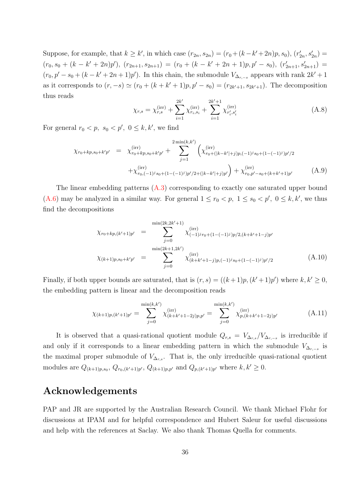Suppose, for example, that  $k \ge k'$ , in which case  $(r_{2n}, s_{2n}) = (r_0 + (k - k' + 2n)p, s_0), (r'_{2n}, s'_{2n}) =$  $(r_0, s_0 + (k - k' + 2n)p'), (r_{2n+1}, s_{2n+1}) = (r_0 + (k - k' + 2n + 1)p, p' - s_0), (r'_{2n+1}, s'_{2n+1}) =$  $(r_0, p' - s_0 + (k - k' + 2n + 1)p')$ . In this chain, the submodule  $V_{\Delta_{r,-s}}$  appears with rank  $2k' + 1$ as it corresponds to  $(r, -s) \simeq (r_0 + (k + k' + 1)p, p' - s_0) = (r_{2k'+1}, s_{2k'+1})$ . The decomposition thus reads

$$
\chi_{r,s} = \chi_{r,s}^{(\rm irr)} + \sum_{i=1}^{2k'} \chi_{r_i,s_i}^{(\rm irr)} + \sum_{i=1}^{2k'+1} \chi_{r_i',s_i'}^{(\rm irr)} \tag{A.8}
$$

For general  $r_0 < p$ ,  $s_0 < p'$ ,  $0 \le k, k'$ , we find

$$
\chi_{r_0+kp,s_0+k'p'} = \chi_{r_0+kp,s_0+k'p'}^{(\rm irr)} + \sum_{j=1}^{2 \min(k,k')} \left( \chi_{r_0+(|k-k'|+j)p,(-1)^j s_0+(1-(-1)^j)p'/2}^{(\rm irr)} + \chi_{r_0,(-1)^j s_0+(1-(-1)^j)p'/2+(|k-k'|+j)p'}^{(\rm irr)} \right) + \chi_{r_0,p'-s_0+(k+k'+1)p'}^{(\rm irr)} \tag{A.9}
$$

The linear embedding patterns [\(A.3\)](#page-34-0) corresponding to exactly one saturated upper bound [\(A.6\)](#page-34-1) may be analyzed in a similar way. For general  $1 \le r_0 < p$ ,  $1 \le s_0 < p'$ ,  $0 \le k, k'$ , we thus find the decompositions

$$
\chi_{r_0+kp,(k'+1)p'} = \sum_{j=0}^{\min(2k,2k'+1)} \chi_{(-1)^j r_0 + (1-(-1)^j)p/2,(k+k'+1-j)p'}^{(\text{irr})} \n\chi_{(k+1)p,s_0+k'p'} = \sum_{j=0}^{\min(2k+1,2k')} \chi_{(k+k'+1-j)p,(-1)^j s_0 + (1-(-1)^j)p'/2}^{(\text{irr})}
$$
\n(A.10)

Finally, if both upper bounds are saturated, that is  $(r, s) = ((k+1)p, (k'+1)p')$  where  $k, k' \geq 0$ , the embedding pattern is linear and the decomposition reads

$$
\chi_{(k+1)p,(k'+1)p'} = \sum_{j=0}^{\min(k,k')} \chi_{(k+k'+1-2j)p,p'}^{\text{(irr)}} = \sum_{j=0}^{\min(k,k')} \chi_{p,(k+k'+1-2j)p'}^{\text{(irr)}} \tag{A.11}
$$

It is observed that a quasi-rational quotient module  $Q_{r,s} = V_{\Delta_{r,s}}/V_{\Delta_{r,-s}}$  is irreducible if and only if it corresponds to a linear embedding pattern in which the submodule  $V_{\Delta_{r,-s}}$  is the maximal proper submodule of  $V_{\Delta_{r,s}}$ . That is, the only irreducible quasi-rational quotient modules are  $Q_{(k+1)p,s_0}$ ,  $Q_{r_0,(k'+1)p'}$ ,  $Q_{(k+1)p,p'}$  and  $Q_{p,(k'+1)p'}$  where  $k, k' \ge 0$ .

## Acknowledgements

PAP and JR are supported by the Australian Research Council. We thank Michael Flohr for discussions at IPAM and for helpful correspondence and Hubert Saleur for useful discussions and help with the references at Saclay. We also thank Thomas Quella for comments.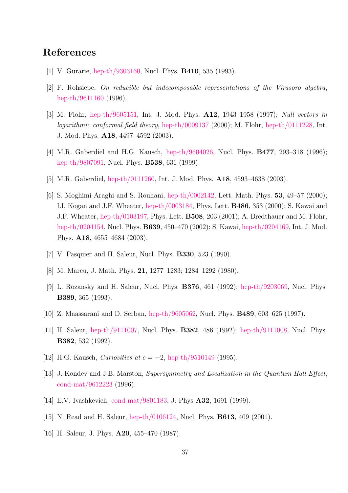## <span id="page-36-0"></span>References

- <span id="page-36-1"></span>[1] V. Gurarie, [hep-th/9303160,](http://arxiv.org/abs/hep-th/9303160) Nucl. Phys. B410, 535 (1993).
- <span id="page-36-2"></span>[2] F. Rohsiepe, On reducible but indecomposable representations of the Virasoro algebra, [hep-th/9611160](http://arxiv.org/abs/hep-th/9611160) (1996).
- [3] M. Flohr, [hep-th/9605151,](http://arxiv.org/abs/hep-th/9605151) Int. J. Mod. Phys. A12, 1943–1958 (1997); Null vectors in logarithmic conformal field theory, [hep-th/0009137](http://arxiv.org/abs/hep-th/0009137) (2000); M. Flohr, [hep-th/0111228,](http://arxiv.org/abs/hep-th/0111228) Int. J. Mod. Phys. A18, 4497–4592 (2003).
- <span id="page-36-4"></span><span id="page-36-3"></span>[4] M.R. Gaberdiel and H.G. Kausch, [hep-th/9604026,](http://arxiv.org/abs/hep-th/9604026) Nucl. Phys. **B477**, 293-318 (1996); [hep-th/9807091,](http://arxiv.org/abs/hep-th/9807091) Nucl. Phys. B538, 631 (1999).
- <span id="page-36-5"></span>[5] M.R. Gaberdiel, [hep-th/0111260,](http://arxiv.org/abs/hep-th/0111260) Int. J. Mod. Phys. A18, 4593–4638 (2003).
- [6] S. Moghimi-Araghi and S. Rouhani, [hep-th/0002142,](http://arxiv.org/abs/hep-th/0002142) Lett. Math. Phys. 53, 49–57 (2000); I.I. Kogan and J.F. Wheater, [hep-th/0003184,](http://arxiv.org/abs/hep-th/0003184) Phys. Lett. B486, 353 (2000); S. Kawai and J.F. Wheater, [hep-th/0103197,](http://arxiv.org/abs/hep-th/0103197) Phys. Lett. B508, 203 (2001); A. Bredthauer and M. Flohr, [hep-th/0204154,](http://arxiv.org/abs/hep-th/0204154) Nucl. Phys. B639, 450–470 (2002); S. Kawai, [hep-th/0204169,](http://arxiv.org/abs/hep-th/0204169) Int. J. Mod. Phys. A18, 4655–4684 (2003).
- <span id="page-36-7"></span><span id="page-36-6"></span>[7] V. Pasquier and H. Saleur, Nucl. Phys. B330, 523 (1990).
- <span id="page-36-8"></span>[8] M. Marcu, J. Math. Phys. 21, 1277–1283; 1284–1292 (1980).
- <span id="page-36-9"></span>[9] L. Rozansky and H. Saleur, Nucl. Phys. B376, 461 (1992); [hep-th/9203069,](http://arxiv.org/abs/hep-th/9203069) Nucl. Phys. B389, 365 (1993).
- <span id="page-36-10"></span>[10] Z. Maassarani and D. Serban, [hep-th/9605062,](http://arxiv.org/abs/hep-th/9605062) Nucl. Phys. B489, 603–625 (1997).
- <span id="page-36-11"></span>[11] H. Saleur, [hep-th/9111007,](http://arxiv.org/abs/hep-th/9111007) Nucl. Phys. B382, 486 (1992); [hep-th/9111008,](http://arxiv.org/abs/hep-th/9111008) Nucl. Phys. B382, 532 (1992).
- <span id="page-36-12"></span>[12] H.G. Kausch, *Curiosities at c* =  $-2$ , [hep-th/9510149](http://arxiv.org/abs/hep-th/9510149) (1995).
- <span id="page-36-13"></span>[13] J. Kondev and J.B. Marston, Supersymmetry and Localization in the Quantum Hall Effect, [cond-mat/9612223](http://arxiv.org/abs/cond-mat/9612223) (1996).
- <span id="page-36-14"></span>[14] E.V. Ivashkevich, [cond-mat/9801183,](http://arxiv.org/abs/cond-mat/9801183) J. Phys **A32**, 1691 (1999).
- <span id="page-36-15"></span>[15] N. Read and H. Saleur, [hep-th/0106124,](http://arxiv.org/abs/hep-th/0106124) Nucl. Phys. B613, 409 (2001).
- [16] H. Saleur, J. Phys. **A20**, 455–470 (1987).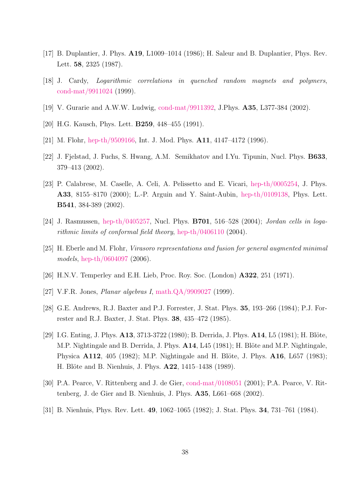- <span id="page-37-1"></span><span id="page-37-0"></span>[17] B. Duplantier, J. Phys. A19, L1009–1014 (1986); H. Saleur and B. Duplantier, Phys. Rev. Lett. 58, 2325 (1987).
- <span id="page-37-2"></span>[18] J. Cardy, Logarithmic correlations in quenched random magnets and polymers, [cond-mat/9911024](http://arxiv.org/abs/cond-mat/9911024) (1999).
- <span id="page-37-3"></span>[19] V. Gurarie and A.W.W. Ludwig, [cond-mat/9911392,](http://arxiv.org/abs/cond-mat/9911392) J.Phys. A35, L377-384 (2002).
- <span id="page-37-4"></span>[20] H.G. Kausch, Phys. Lett. **B259**, 448–455 (1991).
- <span id="page-37-14"></span>[21] M. Flohr, [hep-th/9509166,](http://arxiv.org/abs/hep-th/9509166) Int. J. Mod. Phys. **A11**, 4147-4172 (1996).
- <span id="page-37-5"></span>[22] J. Fjelstad, J. Fuchs, S. Hwang, A.M. Semikhatov and I.Yu. Tipunin, Nucl. Phys. B633, 379–413 (2002).
- [23] P. Calabrese, M. Caselle, A. Celi, A. Pelissetto and E. Vicari, [hep-th/0005254,](http://arxiv.org/abs/hep-th/0005254) J. Phys. A33, 8155–8170 (2000); L.-P. Arguin and Y. Saint-Aubin, [hep-th/0109138,](http://arxiv.org/abs/hep-th/0109138) Phys. Lett. B541, 384-389 (2002).
- <span id="page-37-7"></span><span id="page-37-6"></span>[24] J. Rasmussen, [hep-th/0405257,](http://arxiv.org/abs/hep-th/0405257) Nucl. Phys. **B701**, 516–528 (2004); Jordan cells in logarithmic limits of conformal field theory, [hep-th/0406110](http://arxiv.org/abs/hep-th/0406110) (2004).
- <span id="page-37-8"></span>[25] H. Eberle and M. Flohr, Virasoro representations and fusion for general augmented minimal models, [hep-th/0604097](http://arxiv.org/abs/hep-th/0604097) (2006).
- <span id="page-37-9"></span>[26] H.N.V. Temperley and E.H. Lieb, Proc. Roy. Soc. (London) A322, 251 (1971).
- <span id="page-37-10"></span>[27] V.F.R. Jones, Planar algebras I, [math.QA/9909027](http://arxiv.org/abs/math/9909027) (1999).
- <span id="page-37-11"></span>[28] G.E. Andrews, R.J. Baxter and P.J. Forrester, J. Stat. Phys. 35, 193–266 (1984); P.J. Forrester and R.J. Baxter, J. Stat. Phys. 38, 435–472 (1985).
- [29] I.G. Enting, J. Phys.  $\mathbf{A13}$ , 3713-3722 (1980); B. Derrida, J. Phys.  $\mathbf{A14}$ , L5 (1981); H. Blöte, M.P. Nightingale and B. Derrida, J. Phys.  $A14$ , L45 (1981); H. Blöte and M.P. Nightingale, Physica  $A112$ , 405 (1982); M.P. Nightingale and H. Blöte, J. Phys.  $A16$ , L657 (1983); H. Blöte and B. Nienhuis, J. Phys. **A22**, 1415–1438 (1989).
- <span id="page-37-13"></span><span id="page-37-12"></span>[30] P.A. Pearce, V. Rittenberg and J. de Gier, [cond-mat/0108051](http://arxiv.org/abs/cond-mat/0108051) (2001); P.A. Pearce, V. Rittenberg, J. de Gier and B. Nienhuis, J. Phys. A35, L661–668 (2002).
- [31] B. Nienhuis, Phys. Rev. Lett. 49, 1062–1065 (1982); J. Stat. Phys. 34, 731–761 (1984).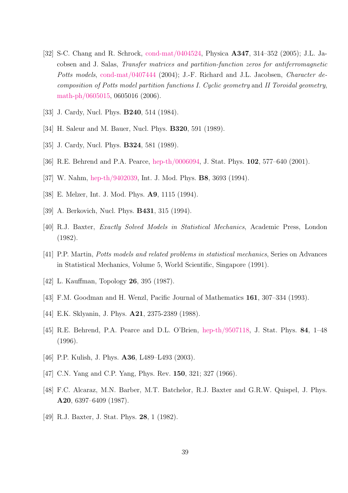- <span id="page-38-0"></span>[32] S-C. Chang and R. Schrock, [cond-mat/0404524,](http://arxiv.org/abs/cond-mat/0404524) Physica A347, 314–352 (2005); J.L. Jacobsen and J. Salas, Transfer matrices and partition-function zeros for antiferromagnetic Potts models, [cond-mat/0407444](http://arxiv.org/abs/cond-mat/0407444) (2004); J.-F. Richard and J.L. Jacobsen, *Character de*composition of Potts model partition functions I. Cyclic geometry and II Toroidal geometry, [math-ph/0605015,](http://arxiv.org/abs/math-ph/0605015) 0605016 (2006).
- <span id="page-38-2"></span><span id="page-38-1"></span>[33] J. Cardy, Nucl. Phys. **B240**, 514 (1984).
- <span id="page-38-3"></span>[34] H. Saleur and M. Bauer, Nucl. Phys. **B320**, 591 (1989).
- <span id="page-38-4"></span>[35] J. Cardy, Nucl. Phys. **B324**, 581 (1989).
- <span id="page-38-5"></span>[36] R.E. Behrend and P.A. Pearce, [hep-th/0006094,](http://arxiv.org/abs/hep-th/0006094) J. Stat. Phys. 102, 577–640 (2001).
- <span id="page-38-6"></span>[37] W. Nahm, [hep-th/9402039,](http://arxiv.org/abs/hep-th/9402039) Int. J. Mod. Phys. B8, 3693 (1994).
- <span id="page-38-7"></span>[38] E. Melzer, Int. J. Mod. Phys. A9, 1115 (1994).
- <span id="page-38-8"></span>[39] A. Berkovich, Nucl. Phys. **B431**, 315 (1994).
- <span id="page-38-10"></span>[40] R.J. Baxter, Exactly Solved Models in Statistical Mechanics, Academic Press, London (1982).
- <span id="page-38-9"></span>[41] P.P. Martin, Potts models and related problems in statistical mechanics, Series on Advances in Statistical Mechanics, Volume 5, World Scientific, Singapore (1991).
- <span id="page-38-11"></span>[42] L. Kauffman, Topology **26**, 395 (1987).
- <span id="page-38-12"></span>[43] F.M. Goodman and H. Wenzl, Pacific Journal of Mathematics 161, 307–334 (1993).
- <span id="page-38-13"></span>[44] E.K. Sklyanin, J. Phys. A21, 2375-2389 (1988).
- <span id="page-38-14"></span>[45] R.E. Behrend, P.A. Pearce and D.L. O'Brien, [hep-th/9507118,](http://arxiv.org/abs/hep-th/9507118) J. Stat. Phys. 84, 1–48 (1996).
- <span id="page-38-15"></span>[46] P.P. Kulish, J. Phys. **A36**, L489–L493 (2003).
- <span id="page-38-16"></span>[47] C.N. Yang and C.P. Yang, Phys. Rev. 150, 321; 327 (1966).
- <span id="page-38-17"></span>[48] F.C. Alcaraz, M.N. Barber, M.T. Batchelor, R.J. Baxter and G.R.W. Quispel, J. Phys. A20, 6397–6409 (1987).
- [49] R.J. Baxter, J. Stat. Phys. 28, 1 (1982).